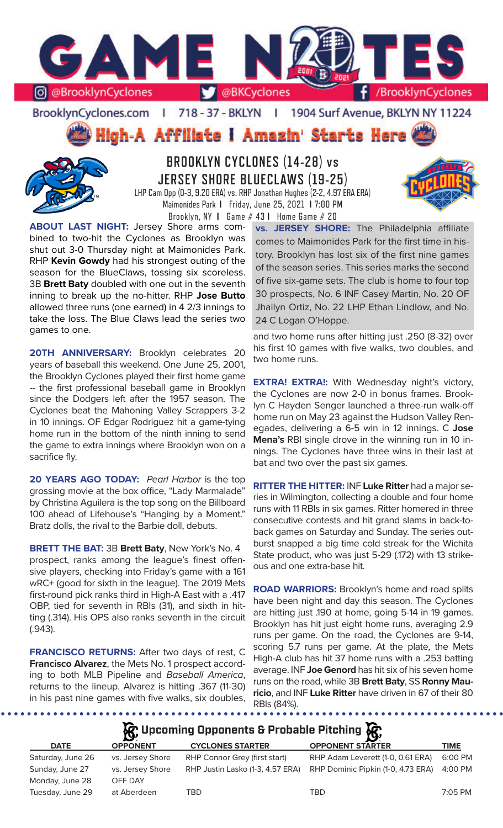

BrooklynCyclones.com | 718 - 37 - BKLYN - 11 1904 Surf Avenue, BKLYN NY 11224

**High-A Affiliate I Amazin' Starts Here** 



## **BROOKLYN CYCLONES (14-28) vs JERSEY SHORE BLUECLAWS (19-25)** LHP Cam Opp (0-3, 9.20 ERA) vs. RHP Jonathan Hughes (2-2, 4.97 ERA ERA)

Maimonides Park **I** Friday, June 25, 2021 **I** 7:00 PM Brooklyn, NY **I** Game # 43 **I** Home Game # 20

**ABOUT LAST NIGHT:** Jersey Shore arms combined to two-hit the Cyclones as Brooklyn was shut out 3-0 Thursday night at Maimonides Park. RHP **Kevin Gowdy** had his strongest outing of the season for the BlueClaws, tossing six scoreless. 3B **Brett Baty** doubled with one out in the seventh inning to break up the no-hitter. RHP **Jose Butto**  allowed three runs (one earned) in 4 2/3 innings to take the loss. The Blue Claws lead the series two games to one.

20TH ANNIVERSARY: Brooklyn celebrates 20 years of baseball this weekend. One June 25, 2001, the Brooklyn Cyclones played their first home game -- the first professional baseball game in Brooklyn since the Dodgers left after the 1957 season. The Cyclones beat the Mahoning Valley Scrappers 3-2 in 10 innings. OF Edgar Rodriguez hit a game-tying home run in the bottom of the ninth inning to send the game to extra innings where Brooklyn won on a sacrifice fly.

**20 YEARS AGO TODAY:** *Pearl Harbor* is the top grossing movie at the box office, "Lady Marmalade" by Christina Aguilera is the top song on the Billboard 100 ahead of Lifehouse's "Hanging by a Moment." Bratz dolls, the rival to the Barbie doll, debuts.

**BRETT THE BAT:** 3B **Brett Baty**, New York's No. 4 prospect, ranks among the league's finest offensive players, checking into Friday's game with a 161 wRC+ (good for sixth in the league). The 2019 Mets first-round pick ranks third in High-A East with a .417 OBP, tied for seventh in RBIs (31), and sixth in hitting (.314). His OPS also ranks seventh in the circuit (.943).

**FRANCISCO RETURNS:** After two days of rest, C **Francisco Alvarez**, the Mets No. 1 prospect according to both MLB Pipeline and *Baseball America*, returns to the lineup. Alvarez is hitting .367 (11-30) in his past nine games with five walks, six doubles,

. . . . . . . .

**vs. JERSEY SHORE:** The Philadelphia affiliate comes to Maimonides Park for the first time in history. Brooklyn has lost six of the first nine games of the season series. This series marks the second of five six-game sets. The club is home to four top 30 prospects, No. 6 INF Casey Martin, No. 20 OF Jhailyn Ortiz, No. 22 LHP Ethan Lindlow, and No. 24 C Logan O'Hoppe.

and two home runs after hitting just .250 (8-32) over his first 10 games with five walks, two doubles, and two home runs.

**EXTRA! EXTRA!:** With Wednesday night's victory, the Cyclones are now 2-0 in bonus frames. Brooklyn C Hayden Senger launched a three-run walk-off home run on May 23 against the Hudson Valley Renegades, delivering a 6-5 win in 12 innings. C **Jose Mena's** RBI single drove in the winning run in 10 innings. The Cyclones have three wins in their last at bat and two over the past six games.

**RITTER THE HITTER:** INF **Luke Ritter** had a major series in Wilmington, collecting a double and four home runs with 11 RBIs in six games. Ritter homered in three consecutive contests and hit grand slams in back-toback games on Saturday and Sunday. The series outburst snapped a big time cold streak for the Wichita State product, who was just 5-29 (.172) with 13 strikeous and one extra-base hit.

**ROAD WARRIORS:** Brooklyn's home and road splits have been night and day this season. The Cyclones are hitting just .190 at home, going 5-14 in 19 games. Brooklyn has hit just eight home runs, averaging 2.9 runs per game. On the road, the Cyclones are 9-14, scoring 5.7 runs per game. At the plate, the Mets High-A club has hit 37 home runs with a .253 batting average. INF **Joe Genord** has hit six of his seven home runs on the road, while 3B **Brett Baty**, SS **Ronny Mauricio**, and INF **Luke Ritter** have driven in 67 of their 80 RBIs (84%).

......................

## **Upcoming Opponents & Probable Pitching**

| <b>DATE</b>       | $\sim$<br><b>OPPONENT</b> | <b>CYCLONES STARTER</b>          | $\sim$<br><b>OPPONENT STARTER</b>  | <b>TIME</b> |
|-------------------|---------------------------|----------------------------------|------------------------------------|-------------|
| Saturday, June 26 | vs. Jersey Shore          | RHP Connor Grey (first start)    | RHP Adam Leverett (1-0, 0.61 ERA)  | 6:00 PM     |
| Sunday, June 27   | vs. Jersey Shore          | RHP Justin Lasko (1-3, 4.57 ERA) | RHP Dominic Pipkin (1-0, 4.73 ERA) | 4:00 PM     |
| Monday, June 28   | OFF DAY                   |                                  |                                    |             |
| Tuesday, June 29  | at Aberdeen               | TBD                              | TBD                                | 7:05 PM     |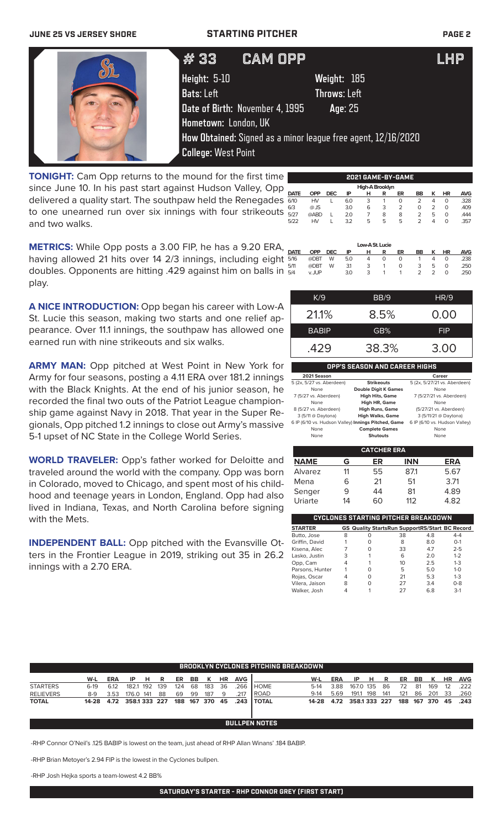### **JUNE 25 VS JERSEY SHORE STARTING PITCHER PAGE 2**

| #33                                                                                          | <b>CAM OPP</b>                                                                                                 | LHP |
|----------------------------------------------------------------------------------------------|----------------------------------------------------------------------------------------------------------------|-----|
| Height: 5-10<br><b>Bats: Left</b><br>Date of Birth: November 4, 1995<br>Hometown: London, UK | Weight: 185<br><b>Throws: Left</b><br>Age: 25<br>How Obtained: Signed as a minor league free agent, 12/16/2020 |     |
| <b>College: West Point</b>                                                                   |                                                                                                                |     |

**TONIGHT:** Cam Opp returns to the mound for the first time since June 10. In his past start against Hudson Valley, Opp delivered a quality start. The southpaw held the Renegades to one unearned run over six innings with four strikeouts and two walks.

|             | 2021 GAME-BY-GAME |            |     |   |   |    |               |   |           |            |
|-------------|-------------------|------------|-----|---|---|----|---------------|---|-----------|------------|
|             | High-A Brooklyn   |            |     |   |   |    |               |   |           |            |
| <b>DATE</b> | <b>OPP</b>        | <b>DEC</b> | ΙP  | н | R | ER | BB            | к | <b>HR</b> | <b>AVG</b> |
| 6/10        | <b>HV</b>         |            | 6.0 | 3 |   | 0  | 2             | 4 | 0         | .328       |
| 6/3         | $@$ JS            |            | 3.0 | 6 | 3 | 2  | Ο             | 2 | 0         | .409       |
| 5/27        | @ABD              |            | 2.0 |   | 8 | 8  | 2             | 5 | O         | 444        |
| 5/22        | HV                |            | 3.2 | 5 | 5 | 5  | $\mathcal{P}$ | Δ | O         | .357       |
|             |                   |            |     |   |   |    |               |   |           |            |

**METRICS:** While Opp posts a 3.00 FIP, he has a 9.20 ERA, having allowed 21 hits over 14 2/3 innings, including eight doubles. Opponents are hitting .429 against him on balls in play.

**A NICE INTRODUCTION:** Opp began his career with Low-A St. Lucie this season, making two starts and one relief appearance. Over 11.1 innings, the southpaw has allowed one earned run with nine strikeouts and six walks.

**ARMY MAN:** Opp pitched at West Point in New York for Army for four seasons, posting a 4.11 ERA over 181.2 innings with the Black Knights. At the end of his junior season, he recorded the final two outs of the Patriot League championship game against Navy in 2018. That year in the Super Regionals, Opp pitched 1.2 innings to close out Army's massive 5-1 upset of NC State in the College World Series.

**WORLD TRAVELER:** Opp's father worked for Deloitte and traveled around the world with the company. Opp was born in Colorado, moved to Chicago, and spent most of his childhood and teenage years in London, England. Opp had also lived in Indiana, Texas, and North Carolina before signing with the Mets.

**INDEPENDENT BALL:** Opp pitched with the Evansville Otters in the Frontier League in 2019, striking out 35 in 26.2 innings with a 2.70 ERA.

| Low-A St. Lucie |         |   |     |   |   |    |    |               |           |            |
|-----------------|---------|---|-----|---|---|----|----|---------------|-----------|------------|
| <b>DATE</b>     | OPP DEC |   | ΙP  | н | R | ER | BB | ĸ             | <b>HR</b> | <b>AVG</b> |
| 5/16            | @DBT    | W | 5.0 | 4 | 0 | 0  |    | 4             | 0         | .238       |
| 5/11            | @DBT    | W | 31  | 3 |   | 0  | 3  | 5             | O         | .250       |
| 5/4             | v. JUP  |   | 3.0 | 3 |   |    | 2  | $\mathcal{L}$ | O         | .250       |
|                 |         |   |     |   |   |    |    |               |           |            |

| K/9          | BB/9  | HR/9       |
|--------------|-------|------------|
| 21.1%        | 8.5%  | 0.00       |
| <b>BABIP</b> | GB%   | <b>FIP</b> |
| .429         | 38.3% | 3.00       |
|              |       |            |

**OPP'S SEASON AND CAREER HIGHS**

| 2021 Season                                         |                             | Career                        |
|-----------------------------------------------------|-----------------------------|-------------------------------|
| 5 (2x, 5/27 vs. Aberdeen)                           | <b>Strikeouts</b>           | 5 (2x, 5/27/21 vs. Aberdeen)  |
| None                                                | <b>Double Digit K Games</b> | None                          |
| 7 (5/27 vs. Aberdeen)                               | <b>High Hits, Game</b>      | 7 (5/27/21 vs. Aberdeen)      |
| None                                                | High HR, Game               | None                          |
| 8 (5/27 vs. Aberdeen)                               | <b>High Runs, Game</b>      | (5/27/21 vs. Aberdeen)        |
| 3 (5/11 @ Daytona)                                  | <b>High Walks, Game</b>     | 3 (5/11/21 @ Daytona)         |
| 6 IP (6/10 vs. Hudson Valley) Innings Pitched, Game |                             | 6 IP (6/10 vs. Hudson Valley) |
| None                                                | <b>Complete Games</b>       | None                          |
| None                                                | <b>Shutouts</b>             | None                          |

| <b>CATCHER ERA</b> |    |    |            |            |  |  |  |  |
|--------------------|----|----|------------|------------|--|--|--|--|
| <b>NAME</b>        | G  | ER | <b>INN</b> | <b>ERA</b> |  |  |  |  |
| Alvarez            | 11 | 55 | 87.1       | 5.67       |  |  |  |  |
| Mena               | 6  | 21 | 51         | 3.71       |  |  |  |  |
| Senger             | 9  | 44 | 81         | 4.89       |  |  |  |  |
| Uriarte            | 14 | 60 | 112        | 4.82       |  |  |  |  |

| CYCLONES STARTING PITCHER BREAKDOWN |   |   |                                                       |     |         |  |  |  |  |
|-------------------------------------|---|---|-------------------------------------------------------|-----|---------|--|--|--|--|
| <b>STARTER</b>                      |   |   | <b>GS Quality StartsRun SupportRS/Start BC Record</b> |     |         |  |  |  |  |
| Butto, Jose                         | 8 | O | 38                                                    | 4.8 | $4 - 4$ |  |  |  |  |
| Griffin, David                      |   | O | 8                                                     | 8.0 | $O-1$   |  |  |  |  |
| Kisena, Alec                        |   | O | 33                                                    | 4.7 | $2 - 5$ |  |  |  |  |
| Lasko, Justin                       | 3 |   | 6                                                     | 2.0 | $1 - 2$ |  |  |  |  |
| Opp, Cam                            | 4 |   | 10                                                    | 2.5 | $1 - 3$ |  |  |  |  |
| Parsons, Hunter                     |   | O | 5                                                     | 5.0 | $1 - 0$ |  |  |  |  |
| Rojas, Oscar                        | 4 | O | 21                                                    | 5.3 | $1 - 3$ |  |  |  |  |
| Vilera, Jaison                      | 8 | O | 27                                                    | 3.4 | $0 - 8$ |  |  |  |  |
| Walker, Josh                        |   |   | 27                                                    | 68  | $3-1$   |  |  |  |  |

|                  | <b>BROOKLYN CYCLONES PITCHING BREAKDOWN</b> |            |              |     |     |     |    |             |     |            |                |         |            |              |     |     |     |           |         |           |            |
|------------------|---------------------------------------------|------------|--------------|-----|-----|-----|----|-------------|-----|------------|----------------|---------|------------|--------------|-----|-----|-----|-----------|---------|-----------|------------|
|                  | W-L                                         | <b>ERA</b> | IP.          | н   | R   | ER  | BB | к           | HR  | <b>AVG</b> |                | W-L     | <b>ERA</b> | ΙP           | н   | R   | ER  | <b>BB</b> | к       | <b>HR</b> | <b>AVG</b> |
| <b>STARTERS</b>  | $6-19$                                      | 6.12       | 182.1        | 192 | 139 | 124 | 68 | 183         | 36  | 266        | <b>HOME</b>    | $5-14$  | 3.88       | 167.0 135    |     | 86  | 72  | 81        | 169     | 12        | .222       |
| <b>RELIEVERS</b> | 8-9                                         | 3.53       | 176.0 141    |     | 88  | 69  | 99 | 187         | 9   | 217        | l ROAD         | $9-14$  | 5.69       | 191.1        | 198 | 141 | 121 | 86        | 201     | -33       | .260       |
| <b>TOTAL</b>     | 14-28                                       | 4.72       | 358.1333 227 |     |     |     |    | 188 167 370 | -45 | .243       | <b>I TOTAL</b> | $14-28$ | 4.72       | 358.1333 227 |     |     | 188 |           | 167 370 | 45        | .243       |
|                  |                                             |            |              |     |     |     |    |             |     |            |                |         |            |              |     |     |     |           |         |           |            |
|                  | <b>BULLPEN NOTES</b>                        |            |              |     |     |     |    |             |     |            |                |         |            |              |     |     |     |           |         |           |            |

-RHP Connor O'Neil's .125 BABIP is lowest on the team, just ahead of RHP Allan Winans' .184 BABIP.

-RHP Brian Metoyer's 2.94 FIP is the lowest in the Cyclones bullpen.

-RHP Josh Hejka sports a team-lowest 4.2 BB%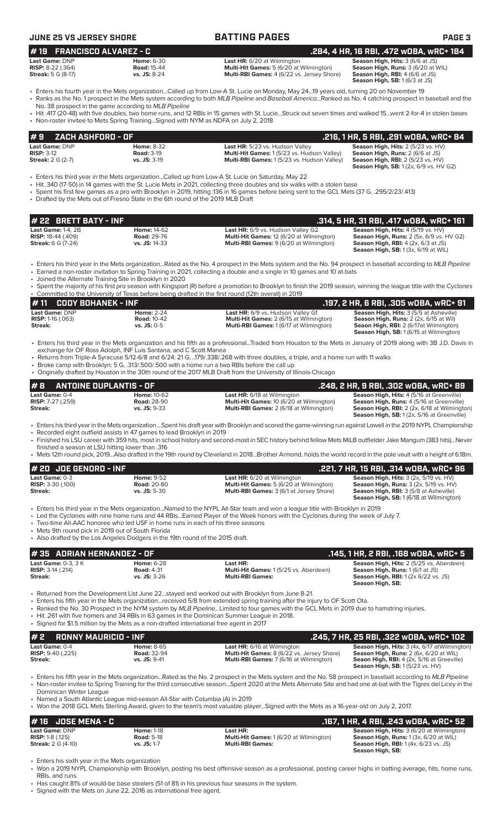| <b>JUNE 25 VS JERSEY SHORE</b>                                                                          |                                                                                                                                                                    | <b>BATTING PAGES</b>                                                                                                                                                                                                                                                                                                                                                                                                                                                                                                     | <b>PAGE 3</b>                                                                                                                                                                                                   |
|---------------------------------------------------------------------------------------------------------|--------------------------------------------------------------------------------------------------------------------------------------------------------------------|--------------------------------------------------------------------------------------------------------------------------------------------------------------------------------------------------------------------------------------------------------------------------------------------------------------------------------------------------------------------------------------------------------------------------------------------------------------------------------------------------------------------------|-----------------------------------------------------------------------------------------------------------------------------------------------------------------------------------------------------------------|
|                                                                                                         |                                                                                                                                                                    |                                                                                                                                                                                                                                                                                                                                                                                                                                                                                                                          |                                                                                                                                                                                                                 |
| <b>FRANCISCO ALVAREZ - C</b><br>#19<br>Last Game: DNP<br>RISP: 8-22 (.364)<br><b>Streak:</b> 5 G (8-17) | <b>Home: 6-30</b><br><b>Road: 15-44</b><br>vs. JS: 8-24                                                                                                            | Last HR: 6/20 at Wilmington<br>Multi-Hit Games: 5 (6/20 at Wilmington)<br>Multi-RBI Games: 4 (6/22 vs. Jersey Shore)                                                                                                                                                                                                                                                                                                                                                                                                     | .284, 4 HR, 16 RBI, .472 wOBA, wRC+ 184<br>Season High, Hits: 3 (6/6 at JS)<br>Season High, Runs: 3 (6/20 at WIL)<br>Season High, RBI: 4 (6/6 at JS)<br>Season High, SB: 1(6/3 at JS)                           |
|                                                                                                         | No. 38 prospect in the game according to MLB Pipeline<br>• Non-roster invitee to Mets Spring TrainingSigned with NYM as NDFA on July 2, 2018                       | Fiters his fourth year in the Mets organizationCalled up from Low-A St. Lucie on Monday, May 2419 years old, turning 20 on November 19<br>· Ranks as the No. 1 prospect in the Mets system according to both MLB Pipeline and Baseball AmericaRanked as No. 4 catching prospect in baseball and the<br>• Hit .417 (20-48) with five doubles, two home runs, and 12 RBIs in 15 games with St. LucieStruck out seven times and walked 15went 2-for-4 in stolen bases                                                       |                                                                                                                                                                                                                 |
| ZACH ASHFORD - OF<br>#9                                                                                 |                                                                                                                                                                    |                                                                                                                                                                                                                                                                                                                                                                                                                                                                                                                          | .216, 1 HR, 5 RBI, .291 wOBA, wRC+ 84                                                                                                                                                                           |
| Last Game: DNP<br><b>RISP: 3-12</b><br><b>Streak:</b> 2 G (2-7)                                         | <b>Home: 8-32</b><br><b>Road: 3-19</b><br>vs. JS: 3-19                                                                                                             | Last HR: 5/23 vs. Hudson Valley<br>Multi-Hit Games: 1 (5/23 vs. Hudson Valley)<br>Multi-RBI Games: 1 (5/23 vs. Hudson Valley)                                                                                                                                                                                                                                                                                                                                                                                            | Season High, Hits: 2 (5/23 vs. HV)<br>Season High, Runs: 2 (6/6 at JS)<br>Season High, RBI: 2 (5/23 vs. HV)<br><b>Season High, SB:</b> 1 (2x, 6/9 vs. HV G2)                                                    |
|                                                                                                         | • Drafted by the Mets out of Fresno State in the 6th round of the 2019 MLB Draft                                                                                   | Enters his third year in the Mets organizationCalled up from Low-A St. Lucie on Saturday, May 22<br>• Hit .340 (17-50) in 14 games with the St. Lucie Mets in 2021, collecting three doubles and six walks with a stolen base<br>• Spent his first few games as a pro with Brooklyn in 2019, hitting 136 in 16 games before being sent to the GCL Mets (37 G, .295/2/23/.413)                                                                                                                                            |                                                                                                                                                                                                                 |
| # 22 BRETT BATY - INF                                                                                   |                                                                                                                                                                    |                                                                                                                                                                                                                                                                                                                                                                                                                                                                                                                          | .314, 5 HR, 31 RBI, .417 wOBA, wRC+ 161                                                                                                                                                                         |
| <b>Last Game: 1-4, 2B</b>                                                                               | <b>Home: 14-62</b>                                                                                                                                                 | Last HR: 6/9 vs. Hudson Valley G2                                                                                                                                                                                                                                                                                                                                                                                                                                                                                        | Season High, Hits: 4 (5/19 vs. HV)                                                                                                                                                                              |
| <b>RISP:</b> 18-44 (.409)<br><b>Streak:</b> 6 G (7-24)                                                  | <b>Road: 29-76</b><br>vs. JS: 14-33                                                                                                                                | Multi-Hit Games: 12 (6/20 at Wilmington)<br>Multi-RBI Games: 9 (6/20 at Wilmington)                                                                                                                                                                                                                                                                                                                                                                                                                                      | Season High, Runs: 2 (5x, 6/9 vs. HV G2)<br><b>Season High, RBI: 4 (2x, 6/3 at JS)</b><br><b>Season High, SB: 1 (3x, 6/19 at WIL)</b>                                                                           |
|                                                                                                         | • Joined the Alternate Training Site in Brooklyn in 2020                                                                                                           | • Enters his third year in the Mets organizationRated as the No. 4 prospect in the Mets system and the No. 94 prospect in baseball according to MLB Pipeline<br>• Earned a non-roster invitation to Spring Training in 2021, collecting a double and a single in 10 games and 10 at-bats<br>• Spent the majority of his first pro season with Kingsport (R) before a promotion to Brooklyn to finish the 2019 season, winning the league title with the Cyclones                                                         |                                                                                                                                                                                                                 |
|                                                                                                         |                                                                                                                                                                    | • Committed to the University of Texas before being drafted in the first round (12th overall) in 2019                                                                                                                                                                                                                                                                                                                                                                                                                    |                                                                                                                                                                                                                 |
| <b>CODY BOHANEK - INF</b><br>#11<br>Last Game: DNP<br><b>RISP:</b> 1-16 $(.063)$<br>Streak:             | <b>Home: 2-24</b><br><b>Road: 10-42</b><br>$vs.$ JS: $0-5$                                                                                                         | Last HR: 6/9 vs. Hudson Valley G1<br>Multi-Hit Games: 2 (6/15 at Wilmington)<br>Multi-RBI Games: 1 (6/17 at Wilmington)                                                                                                                                                                                                                                                                                                                                                                                                  | .197, 2 HR, 6 RBI, .305 w0BA, wRC+ 91<br>Season High, Hits: 3 (5/5 at Asheville)<br>Season High, Runs: 2 (2x, 6/15 at Wil)<br>Seaon High, RBI: 2 (6/17at Wilmington)<br>Season High, SB: 1 (6/15 at Wilmington) |
|                                                                                                         | exchange for OF Ross Adolph, INF Luis Santana, and C Scott Manea                                                                                                   | • Enters his third year in the Mets organization and his fifth as a professionalTraded from Houston to the Mets in January of 2019 along with 3B J.D. Davis in<br>• Returns from Triple-A Syracuse 5/12-6/8 and 6/24: 21 G, 179/.338/.268 with three doubles, a triple, and a home run with 11 walks<br>• Broke camp with Brooklyn: 5 G, .313/.500/.500 with a home run a two RBIs before the call up<br>• Originally drafted by Houston in the 30th round of the 2017 MLB Draft from the University of Illinois-Chicago |                                                                                                                                                                                                                 |
| #8<br><b>ANTOINE DUPLANTIS - OF</b>                                                                     |                                                                                                                                                                    |                                                                                                                                                                                                                                                                                                                                                                                                                                                                                                                          | .248, 2 HR, 9 RBI, .302 w0BA, wRC+ 89                                                                                                                                                                           |
| Last Game: 0-4<br><b>RISP:</b> 7-27 (.259)<br>Streak:                                                   | <b>Home: 10-62</b><br><b>Road: 28-90</b><br>vs. JS: 9-33                                                                                                           | Last HR: 6/18 at Wilmington<br>Multi-Hit Games: 10 (6/20 at Wilmington)<br>Multi-RBI Games: 2 (6/18 at Wilmington)                                                                                                                                                                                                                                                                                                                                                                                                       | Season High, Hits: 4 (5/16 at Greenville)<br>Season High, Runs: 4 (5/16 at Greenville)<br>Season High, RBI: 2 (2x, 6/18 at Wilmington)<br>Season High, SB: 1 (2x, 5/16 at Greenville)                           |
|                                                                                                         | • Recorded eight outfield assists in 47 games to lead Brooklyn in 2019                                                                                             | · Enters his third year in the Mets organization Spent his draft year with Brooklyn and scored the game-winning run against Lowell in the 2019 NYPL Championship<br>• Finished his LSU career with 359 hits, most in school history and second-most in SEC history behind fellow Mets MiLB outfielder Jake Mangum (383 hits)Never                                                                                                                                                                                        |                                                                                                                                                                                                                 |
| finished a season at LSU hitting lower than .316                                                        |                                                                                                                                                                    | • Mets 12th round pick, 2019Also drafted in the 19th round by Cleveland in 2018Brother Armond, holds the world record in the pole vault with a height of 6.18m.                                                                                                                                                                                                                                                                                                                                                          |                                                                                                                                                                                                                 |
| # 20 JOE GENORD - INF                                                                                   |                                                                                                                                                                    |                                                                                                                                                                                                                                                                                                                                                                                                                                                                                                                          | .221, 7 HR, 15 RBI, .314 wOBA, wRC+ 96                                                                                                                                                                          |
| Last Game: 0-3<br><b>RISP: 3-30 (.100)</b><br>Streak:                                                   | <b>Home: 9-52</b><br><b>Road: 20-80</b><br>vs. JS: 5-30                                                                                                            | <b>Last HR:</b> 6/20 at Wilmington<br>Multi-Hit Games: 5 (6/20 at Wilmington)<br>Multi-RBI Games: 3 (6/1 at Jersey Shore)                                                                                                                                                                                                                                                                                                                                                                                                | Season High, Hits: 3 (2x, 5/19 vs. HV)<br>Season High, Runs: 3 (2x, 5/19 vs. HV)<br>Season High, RBI: 3 (5/8 at Asheville)<br><b>Season High, SB: 1 (6/18 at Wilmington)</b>                                    |
| • Mets 9th round pick in 2019 out of South Florida                                                      | • Two-time All-AAC honoree who led USF in home runs in each of his three seasons<br>• Also drafted by the Los Angeles Dodgers in the 19th round of the 2015 draft. | • Enters his third year in the Mets organization…Named to the NYPL All-Star team and won a league title with Brooklyn in 2019<br>• Led the Cyclones with nine home runs and 44 RBIsEarned Player of the Week honors with the Cyclones during the week of July 7.                                                                                                                                                                                                                                                         |                                                                                                                                                                                                                 |
| <b>ADRIAN HERNANDEZ - OF</b><br>#35                                                                     |                                                                                                                                                                    |                                                                                                                                                                                                                                                                                                                                                                                                                                                                                                                          | .145, 1 HR, 2 RBI, .168 wOBA, wRC+ 5                                                                                                                                                                            |
| Last Game: 0-3, 3 K                                                                                     | <b>Home: 6-28</b>                                                                                                                                                  | Last HR:                                                                                                                                                                                                                                                                                                                                                                                                                                                                                                                 | Season High, Hits: 2 (5/25 vs. Aberdeen)                                                                                                                                                                        |
| <b>RISP: 3-14 (.214)</b><br><b>Streak:</b>                                                              | <b>Road: 4-31</b><br>vs. JS: 3-26                                                                                                                                  | Multi-Hit Games: 1 (5/25 vs. Aberdeen)<br><b>Multi-RBI Games:</b>                                                                                                                                                                                                                                                                                                                                                                                                                                                        | Season High, Runs: 1 (6/1 at JS)<br><b>Season High, RBI:</b> 1 (2x 6/22 vs. JS)<br>Season High, SB:                                                                                                             |
|                                                                                                         | • Signed for \$1.5 million by the Mets as a non-drafted international free agent in 2017                                                                           | • Returned from the Development List June 22stayed and worked out with Brooklyn from June 8-21.<br>• Enters his fifth year in the Mets organizationreceived 5/8 from extended spring training after the injury to OF Scott Ota.<br>• Ranked the No. 30 Prospect in the NYM system by MLB PipelineLimited to four games with the GCL Mets in 2019 due to hamstring injuries.<br>• Hit .261 with five homers and 34 RBIs in 63 games in the Dominican Summer League in 2018.                                               |                                                                                                                                                                                                                 |
| <b>RONNY MAURICIO - INF</b><br>#2                                                                       |                                                                                                                                                                    |                                                                                                                                                                                                                                                                                                                                                                                                                                                                                                                          | .245, 7 HR, 25 RBI, .322 wOBA, wRC+ 102                                                                                                                                                                         |
| Last Game: 0-4<br><b>RISP: 9-40 (.225)</b><br>Streak:                                                   | <b>Home: 8-65</b><br><b>Road: 32-94</b><br>vs. JS: 9-41                                                                                                            | Last HR: 6/16 at Wilmington<br>Multi-Hit Games: 8 (6/22 vs. Jersey Shore)<br>Multi-RBI Games: 7 (6/16 at Wilmington)                                                                                                                                                                                                                                                                                                                                                                                                     | Season High, Hits: 3 (4x, 6/17 at Wilmington)<br>Season High, Runs: 2 (6x, 6/20 at WIL)<br>Seaon High, RBI: 4 (2x, 5/16 at Greeville)<br><b>Season High, SB: 1 (5/23 vs. HV)</b>                                |
|                                                                                                         |                                                                                                                                                                    | • Enters his fifth year in the Mets organizationRated as the No. 2 prospect in the Mets system and the No. 58 prospect in baseball according to MLB Pipeline<br>• Non-roster invitee to Spring Training for the third consecutive seasonSpent 2020 at the Mets Alternate Site and had one at-bat with the Tigres del Licey in the                                                                                                                                                                                        |                                                                                                                                                                                                                 |

- Dominican Winter League • Named a South Atlantic League mid-season All-Star with Columbia (A) in 2019
- Won the 2018 GCL Mets Sterling Award, given to the team's most valuable player...Signed with the Mets as a 16-year-old on July 2, 2017.

**# 16 JOSE MENA - C .167, 1 HR, 4 RBI, .243 wOBA, wRC+ 52 Season High, Hits:** 3 (6/20 at Wilmington)<br>**Season High, Runs:** 1 (3x, 6/20 at WIL) **RISP: 1-8 (1125) Road: 5-18 Rise (118 and 118 and 118 ast HR: 1-18 ast HR: 1-8** (125)<br> **RISP:** 1-8 (.125) **Road: 5-18 Multi-Hit Games:** 1 (6/20 at Wilmington) **Streak: 2** G (4-10) **vs. JS:** 1-7 **Multi-RBI Games: Streak:** 2 G (4-10) **vs. JS:** 1-7 **Multi-RBI Games: Season High, RBI:** 1 (4x, 6/23 vs. JS) **Season High, SB:** 

• Enters his sixth year in the Mets organization

• Won a 2019 NYPL Championship with Brooklyn, posting his best offensive season as a professional, posting career highs in batting average, hits, home runs, RBIs, and runs

• Has caught 81% of would-be base stealers (51 of 81) in his previous four seasons in the system.

• Signed with the Mets on June 22, 2016 as international free agent.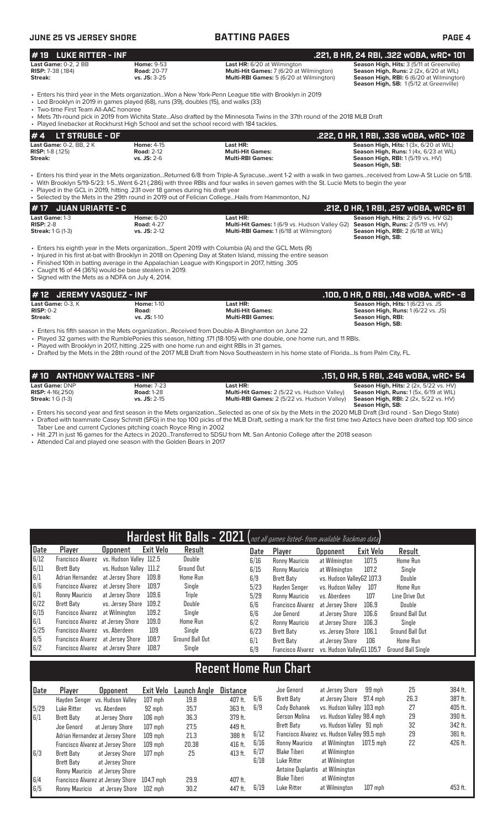| <b>JUNE 25 VS JERSEY SHORE</b>                                         |                                                                                                                                                                                  | <b>BATTING PAGES</b>                                                                                                                                                                                                                                                                                                                                                                                     | <b>PAGE 4</b>                                                                                                                                                             |  |  |  |
|------------------------------------------------------------------------|----------------------------------------------------------------------------------------------------------------------------------------------------------------------------------|----------------------------------------------------------------------------------------------------------------------------------------------------------------------------------------------------------------------------------------------------------------------------------------------------------------------------------------------------------------------------------------------------------|---------------------------------------------------------------------------------------------------------------------------------------------------------------------------|--|--|--|
| #19<br><b>LUKE RITTER - INF</b>                                        |                                                                                                                                                                                  |                                                                                                                                                                                                                                                                                                                                                                                                          | .221, 8 HR, 24 RBI, .322 wOBA, wRC+ 101                                                                                                                                   |  |  |  |
| <b>Last Game: 0-2, 2 BB</b><br><b>RISP:</b> 7-38 (.184)<br>Streak:     | <b>Home: 9-53</b><br><b>Road: 20-77</b><br>$vs.$ JS: $3-25$                                                                                                                      | Last HR: 6/20 at Wilmington<br>Multi-Hit Games: 7 (6/20 at Wilmington)<br>Multi-RBI Games: 5 (6/20 at Wilmington)                                                                                                                                                                                                                                                                                        | Season High, Hits: 3 (5/11 at Greenville)<br>Season High, Runs: 2 (2x, 6/20 at WIL)<br>Season High, RBI: 6 (6/20 at Wilmington)<br>Season High, SB: 1(5/12 at Greenville) |  |  |  |
| • Two-time First Team All-AAC honoree                                  | • Led Brooklyn in 2019 in games played (68), runs (39), doubles (15), and walks (33)<br>• Played linebacker at Rockhurst High School and set the school record with 184 tackles. | • Enters his third year in the Mets organizationWon a New York-Penn League title with Brooklyn in 2019<br>• Mets 7th-round pick in 2019 from Wichita StateAlso drafted by the Minnesota Twins in the 37th round of the 2018 MLB Draft                                                                                                                                                                    |                                                                                                                                                                           |  |  |  |
| <b>LT STRUBLE - OF</b><br>#4                                           |                                                                                                                                                                                  |                                                                                                                                                                                                                                                                                                                                                                                                          | .222, 0 HR, 1 RBI, .336 wOBA, wRC+ 102                                                                                                                                    |  |  |  |
| Last Game: 0-2, BB, 2 K<br><b>RISP:</b> 1-8 $(.125)$<br><b>Streak:</b> | <b>Home: 4-15</b><br><b>Road: 2-12</b><br>vs. JS: 2-6                                                                                                                            | Last HR:<br><b>Multi-Hit Games:</b><br><b>Multi-RBI Games:</b>                                                                                                                                                                                                                                                                                                                                           | Season High, Hits: 1 (3x, 6/20 at WIL)<br>Season High, Runs: 1 (4x, 6/23 at WIL)<br>Season High, RBI: 1 (5/19 vs. HV)<br>Season High, SB:                                 |  |  |  |
|                                                                        | . Played in the GCL in 2019, hitting .231 over 18 games during his draft year                                                                                                    | • Enters his third year in the Mets organizationReturned 6/8 from Triple-A Syracusewent 1-2 with a walk in two gamesreceived from Low-A St Lucie on 5/18.<br>• With Brooklyn 5/19-5/23: 1-5Went 6-21 (.286) with three RBIs and four walks in seven games with the St. Lucie Mets to begin the year<br>• Selected by the Mets in the 29th round in 2019 out of Felician College Hails from Hammonton, NJ |                                                                                                                                                                           |  |  |  |
| <b>JUAN URIARTE - C</b><br>#17                                         |                                                                                                                                                                                  |                                                                                                                                                                                                                                                                                                                                                                                                          | .212, 0 HR, 1 RBI, .257 wOBA, wRC+ 61                                                                                                                                     |  |  |  |
| Last Game: 1-3<br><b>RISP: 2-8</b><br><b>Streak:</b> 1 G (1-3)         | <b>Home: 6-20</b><br><b>Road: 4-27</b><br>vs. JS: 2-12                                                                                                                           | Last HR:<br>Multi-Hit Games: 1 (6/9 vs. Hudson Valley G2)<br>Multi-RBI Games: 1 (6/18 at Wilmington)                                                                                                                                                                                                                                                                                                     | Season High, Hits: 2 (6/9 vs. HV G2)<br>Season High, Runs: 2 (5/19 vs. HV)<br>Season High, RBI: 2 (6/18 at WIL)<br>Season High, SB:                                       |  |  |  |
| • Signed with the Mets as a NDFA on July 4, 2014.                      | • Caught 16 of 44 (36%) would-be base stealers in 2019.                                                                                                                          | • Enters his eighth year in the Mets organizationSpent 2019 with Columbia (A) and the GCL Mets (R)<br>• Injured in his first at-bat with Brooklyn in 2018 on Opening Day at Staten Island, missing the entire season<br>. Finished 10th in batting average in the Appalachian League with Kingsport in 2017, hitting .305                                                                                |                                                                                                                                                                           |  |  |  |
| <b>JEREMY VASQUEZ - INF</b><br>#12                                     |                                                                                                                                                                                  |                                                                                                                                                                                                                                                                                                                                                                                                          | .100, 0 HR, 0 RBI, .148 w0BA, wRC+ -8                                                                                                                                     |  |  |  |
| Last Game: 0-3, K<br>$RISP: 0-2$<br>Streak:                            | <b>Home: 1-10</b><br>Road:<br>vs. JS: 1-10                                                                                                                                       | Last HR:<br><b>Multi-Hit Games:</b><br><b>Multi-RBI Games:</b>                                                                                                                                                                                                                                                                                                                                           | Season High, Hits: 1 (6/23 vs. JS<br>Season High, Runs: 1 (6/22 vs. JS)<br>Season High, RBI:<br>Season High, SB:                                                          |  |  |  |
|                                                                        | · Played with Brooklyn in 2017, hitting .225 with one home run and eight RBIs in 31 games.                                                                                       | • Enters his fifth season in the Mets organizationReceived from Double-A Binghamton on June 22<br>• Played 32 games with the RumblePonies this season, hitting .171 (18-105) with one double, one home run, and 11 RBIs.<br>• Drafted by the Mets in the 28th round of the 2017 MLB Draft from Nova Southeastern in his home state of FloridaIs from Palm City, FL.                                      |                                                                                                                                                                           |  |  |  |

| #10 ANTHONY WALTERS - INF |                   |                                                    | .151, 0 HR, 5 RBI, .246 w0BA, wRC+ 54                    |
|---------------------------|-------------------|----------------------------------------------------|----------------------------------------------------------|
| Last Game: DNP            | <b>Home: 7-23</b> | Last HR:                                           | <b>Season High, Hits:</b> $2$ ( $2x$ , $5/22$ vs. $HV$ ) |
| <b>RISP:</b> $4-16(.250)$ | <b>Road: 1-28</b> | Multi-Hit Games: 2 (5/22 vs. Hudson Valley)        | <b>Season High, Runs:</b> 1 (5x, 6/19 at WIL)            |
| <b>Streak: 1 G (1-3)</b>  | $vs.$ JS: 2-15    | <b>Multi-RBI Games:</b> 2 (5/22 vs. Hudson Valley) | <b>Season High, RBI:</b> 2 (2x, 5/22 vs. HV)             |
|                           |                   |                                                    | Season High, SB:                                         |

• Enters his second year and first season in the Mets organization...Selected as one of six by the Mets in the 2020 MLB Draft (3rd round - San Diego State) • Drafted with teammate Casey Schmitt (SFG) in the top 100 picks of the MLB Draft, setting a mark for the first time two Aztecs have been drafted top 100 since Taber Lee and current Cyclones pitching coach Royce Ring in 2002

• Hit .271 in just 16 games for the Aztecs in 2020...Transferred to SDSU from Mt. San Antonio College after the 2018 season

• Attended Cal and played one season with the Golden Bears in 2017

| Hardest Hit Balls - 2021 (not all games listed- from available Trackman data) |                                   |                         |                  |                   |          |      |                          |                           |           |                    |  |
|-------------------------------------------------------------------------------|-----------------------------------|-------------------------|------------------|-------------------|----------|------|--------------------------|---------------------------|-----------|--------------------|--|
| Date                                                                          | <b>Player</b>                     | <b>Opponent</b>         | <b>Exit Velo</b> | Result            |          | Date | Player                   | <b>Opponent</b>           | Exit Velo | Result             |  |
| 6/12                                                                          | <b>Francisco Alvarez</b>          | vs. Hudson Valley 112.5 |                  | Double            |          | 6/16 | Ronny Mauricio           | at Wilmington             | 107.5     | Home Run           |  |
| 6/11                                                                          | Brett Baty                        | vs. Hudson Valley 111.2 |                  | <b>Ground Out</b> |          | 6/15 | Ronny Mauricio           | at Wilmington             | 107.2     | Single             |  |
| 6/1                                                                           | Adrian Hernandez                  | at Jersey Shore         | 109.8            | Home Run          |          | 6/9  | Brett Baty               | vs. Hudson ValleyG2 107.3 |           | Double             |  |
| 6/6                                                                           | Francisco Alvarez                 | at Jersey Shore         | 109.7            | Single            |          | 5/23 | Hayden Senger            | vs. Hudson Vallev         | 107       | Home Run           |  |
| 6/1                                                                           | Ronny Mauricio                    | at Jersey Shore         | 109.6            | <b>Triple</b>     |          | 5/29 | Ronny Mauricio           | vs. Aberdeen              | 107       | Line Drive Out     |  |
| 6/22                                                                          | Brett Baty                        | vs. Jersey Shore        | 109.2            | Double            |          | 6/6  | <b>Francisco Alvarez</b> | at Jersey Shore           | 106.9     | Double             |  |
| 6/15                                                                          | Francisco Alvarez                 | at Wilmington           | 109.2            | Single            |          | 6/6  | Joe Genord               | at Jersey Shore           | 106.6     | Ground Ball Out    |  |
| 6/1                                                                           | Francisco Alvarez at Jersey Shore |                         | 109.0            | Home Run          |          | 6/2  | Ronny Mauricio           | at Jersey Shore           | 106.3     | Single             |  |
| 5/25                                                                          | <b>Francisco Alvarez</b>          | vs. Aberdeen            | 109              | Single            |          | 6/23 | Brett Baty               | vs. Jersey Shore          | 106.1     | Ground Ball Out    |  |
| 6/5                                                                           | Francisco Alvarez                 | at Jersey Shore         | 108.7            | Ground Ball Out   |          | 6/1  | <b>Brett Baty</b>        | at Jersey Shore           | 106       | Home Run           |  |
| 6/2                                                                           | Francisco Alvarez at Jersey Shore |                         | 108.7            | Single            |          | 6/9  | <b>Francisco Alvarez</b> | vs. Hudson ValleyG1 105.7 |           | Ground Ball Single |  |
|                                                                               |                                   |                         |                  |                   |          |      |                          |                           |           |                    |  |
| <b>Recent Home Run Chart</b>                                                  |                                   |                         |                  |                   |          |      |                          |                           |           |                    |  |
| Date                                                                          | Player                            | Upponent                | Exit Velo        | Launch Angle      | Distance |      | Joe Genord               | at Jersev Shore           | 99 mph    | 25                 |  |

| Date | Player         | <b>Opponent</b>                   | Exit Velo | Launch Angle | Distance |      | Joe Genord                                   | at Jersev Shore            | 99 mph    | 25   | 384 ft. |
|------|----------------|-----------------------------------|-----------|--------------|----------|------|----------------------------------------------|----------------------------|-----------|------|---------|
|      |                | Hayden Senger vs. Hudson Valley   | $107$ mph | 19.8         | 407 ft.  | 6/6  | Brett Baty                                   | at Jersey Shore 97.4 mph   |           | 26.3 | 387 ft. |
| 5/29 | Luke Ritter    | vs. Aberdeen                      | 92 mph    | 35.7         | 363 ft.  | 6/9  | Cody Bohanek                                 | vs. Hudson Valley 103 mph  |           | 27   | 405 ft. |
| 6/1  | Brett Baty     | at Jersev Shore                   | $106$ mph | 36.3         | 379 ft.  |      | Gerson Molina                                | vs. Hudson Valley 98.4 mph |           | 29   | 390 ft. |
|      | Joe Genord     | at Jersev Shore                   | $107$ mph | 27.5         | 449 ft.  |      | Brett Baty                                   | vs. Hudson Valley 91 mph   |           | 32   | 342 ft. |
|      |                | Adrian Hernandez at Jersey Shore  | $109$ mph | 21.3         | 388 ft   | 6/12 | Francisco Alvarez vs. Hudson Valley 99.5 mph |                            |           | 29   | 381 ft. |
|      |                | Francisco Alvarez at Jersey Shore | $109$ mph | 20.38        | 416 ft.  | 6/16 | Ronny Mauricio                               | at Wilmington              | 107.5 mph | 22   | 426 ft. |
| 5/3  | Brett Baty     | at Jersey Shore                   | $107$ mph | 25           | 413 ft.  | 6/17 | Blake Tiberi                                 | at Wilmington              |           |      |         |
|      | Brett Baty     | at Jersev Shore                   |           |              |          | 6/18 | Luke Ritter                                  | at Wilmington              |           |      |         |
|      | Ronny Mauricio | at Jersey Shore                   |           |              |          |      | Antoine Duplantis at Wilmington              |                            |           |      |         |
| 6/4  |                | Francisco Alvarez at Jersey Shore | 104.7 mph | 29.9         | 407 ft.  |      | Blake Tiberi                                 | at Wilmington              |           |      |         |
| 6/5  | Ronny Mauricio | at Jersey Shore                   | 102 mph   | 30.2         | 447 ft.  | 6/19 | Luke Ritter                                  | at Wilmington              | $107$ mph |      | 453 ft. |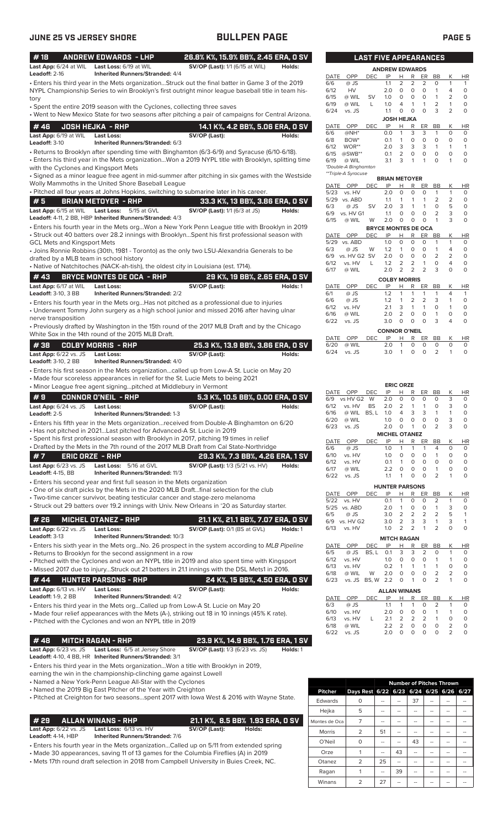| #18                                                 |                        | <b>ANDREW EDWARDS - LHP</b>                                                                                                                                                        | 26.8% K%, 15.9% BB%, 2.45 ERA, 0 SV                                        |          |              |                               | <b>LAST FIVE APPEARANCES</b> |                             |                              |                        |                         |                               |                                |                     |
|-----------------------------------------------------|------------------------|------------------------------------------------------------------------------------------------------------------------------------------------------------------------------------|----------------------------------------------------------------------------|----------|--------------|-------------------------------|------------------------------|-----------------------------|------------------------------|------------------------|-------------------------|-------------------------------|--------------------------------|---------------------|
| <b>Leadoff: 2-16</b>                                |                        | Last App: 6/24 at WIL Last Loss: 6/19 at WIL<br><b>Inherited Runners/Stranded: 4/4</b>                                                                                             | <b>SV/OP (Last):</b> 1/1 (6/15 at WIL)                                     | Holds:   |              |                               |                              | <b>ANDREW EDWARDS</b>       |                              |                        |                         |                               |                                |                     |
|                                                     |                        | · Enters his third year in the Mets organizationStruck out the final batter in Game 3 of the 2019                                                                                  |                                                                            |          | DATE<br>6/6  | OPP<br>@ JS                   | DEC                          | IP<br>1.1                   | H<br>$\overline{2}$          | R<br>$\overline{2}$    | ER<br>2                 | BB<br>O                       | Κ<br>$\mathbf{1}$              | HI<br>-1            |
|                                                     |                        | NYPL Championship Series to win Brooklyn's first outright minor league baseball title in team his-                                                                                 |                                                                            |          | 6/12         | HV                            |                              | 2.0                         | $\circ$                      | 0                      | $\circ$                 | $\mathbf{1}$                  | 4                              | $\circ$             |
| tory                                                |                        |                                                                                                                                                                                    |                                                                            |          | 6/15         | @ WIL                         | <b>SV</b>                    | 1.0                         | 0                            | 0                      | 0                       | $\mathbf{1}$                  | 2                              | 0                   |
|                                                     |                        | • Spent the entire 2019 season with the Cyclones, collecting three saves                                                                                                           |                                                                            |          | 6/19         | @ WIL                         | L                            | 1.0                         | 4<br>$\circ$                 | 1<br>$\circ$           | $\mathbf{1}$<br>$\circ$ | 2<br>3                        | $\mathbf{1}$<br>$\overline{2}$ | 0<br>$\circ$        |
|                                                     |                        | . Went to New Mexico State for two seasons after pitching a pair of campaigns for Central Arizona.                                                                                 |                                                                            |          | 6/24         | vs. JS                        |                              | 1.1<br><b>JOSH HEJKA</b>    |                              |                        |                         |                               |                                |                     |
| #46                                                 |                        | <b>JOSH HEJKA - RHP</b>                                                                                                                                                            | 14.1 K%, 4.2 BB%, 5.06 ERA, 0 SV                                           |          | DATE         | OPP                           | <b>DEC</b>                   | IP                          | н                            | R                      | ER                      | BB                            | Κ                              | HI                  |
| Last App: 6/19 at WIL                               |                        | <b>Last Loss:</b>                                                                                                                                                                  | SV/OP (Last):                                                              | Holds:   | 6/6          | @NH*                          |                              | 0.0                         | 1                            | 3                      | 3                       | 1                             | $\circ$                        | 0                   |
| Leadoff: 3-10                                       |                        | Inherited Runners/Stranded: 6/3                                                                                                                                                    |                                                                            |          | 6/8<br>6/12  | BOW <sup>*</sup><br>WOR**     |                              | 0.1<br>2.0                  | $\mathbf{1}$<br>3            | $\circ$<br>3           | $\circ$<br>3            | $\circ$<br>$\mathbf{1}$       | $\circ$<br>$\mathbf{1}$        | $\circ$<br>-1       |
|                                                     |                        | • Returns to Brooklyn after spending time with Binghamton (6/3-6/9) and Syracuse (6/10-6/18).                                                                                      |                                                                            |          | 6/15         | $@SWB**$                      |                              | 0.1                         | $\overline{2}$               | 0                      | $\circ$                 | $\circ$                       | $\mathbf 0$                    | $\circ$             |
|                                                     |                        | Enters his third year in the Mets organizationWon a 2019 NYPL title with Brooklyn, splitting time                                                                                  |                                                                            |          | 6/19         | @ WIL<br>*Double-A Binghamton |                              | 3.1                         | 3                            | 1                      | 1                       | $\circ$                       | $\mathbf{1}$                   | 0                   |
|                                                     |                        | with the Cyclones and Kingsport Mets<br>· Signed as a minor league free agent in mid-summer after pitching in six games with the Westside                                          |                                                                            |          |              | **Triple-A Syracuse           |                              |                             |                              |                        |                         |                               |                                |                     |
|                                                     |                        | Wolly Mammoths in the United Shore Baseball League                                                                                                                                 |                                                                            |          | DATE         | OPP                           | DEC                          | <b>BRIAN METOYER</b><br>IP  |                              | R                      | ER                      | BB                            | Κ                              | HI                  |
|                                                     |                        | · Pitched all four years at Johns Hopkins, switching to submarine later in his career.                                                                                             |                                                                            |          | 5/23         | vs. HV                        |                              | 2.0                         | н<br>$\circ$                 | 0                      | 0                       | 1                             | $\mathbf{1}$                   | 0                   |
| #5                                                  |                        | <b>BRIAN METOYER - RHP</b>                                                                                                                                                         | 33.3 K%, 13 BB%, 3.86 ERA, 0 SV                                            |          |              | 5/29 vs. ABD                  |                              | 1.1                         | $\mathbf{1}$                 | 1                      | $\mathbf{1}$            | $\overline{2}$                | $\overline{2}$                 | 0                   |
| Last App: 6/15 at WIL                               |                        | Last Loss:<br>5/15 at GVL                                                                                                                                                          | <b>SV/OP (Last):</b> 1/1 (6/3 at JS)                                       | Holds:   | 6/3<br>6/9   | @ JS<br>vs. HV G1             | SV                           | 2.0<br>1.1                  | 3<br>O                       | 1<br>0                 | $\mathbf{1}$<br>0       | $\mathbf 0$<br>$\overline{2}$ | 5<br>3                         | 0<br>0              |
|                                                     |                        | Leadoff: 4-11, 2 BB, HBP Inherited Runners/Stranded: 4/3                                                                                                                           |                                                                            |          | 6/15         | @ WIL                         | W                            | 2.0                         | 0                            | 0                      | 0                       | $\mathbf{1}$                  | 3                              | O                   |
|                                                     |                        | · Enters his fourth year in the Mets orgWon a New York Penn League title with Brooklyn in 2019                                                                                     |                                                                            |          |              |                               |                              | <b>BRYCE MONTES DE OCA</b>  |                              |                        |                         |                               |                                |                     |
|                                                     |                        | Struck out 40 batters over 28.2 innings with BrooklynSpent his first professional season with •                                                                                    |                                                                            |          | DATE         | OPP                           | <b>DEC</b>                   | IP                          | H                            | R                      | ER                      | BB                            | Κ                              | HI                  |
| GCL Mets and Kingsport Mets                         |                        | • Joins Ronnie Robbins (30th, 1981 - Toronto) as the only two LSU-Alexandria Generals to be                                                                                        |                                                                            |          | 5/29<br>6/3  | vs. ABD<br>@ JS               | W                            | 1.0<br>1.2                  | $\mathbf 0$<br>$\mathbf{1}$  | 0<br>$\circ$           | $\circ$<br>$\circ$      | 1<br>1                        | $\mathbf{1}$<br>$\overline{4}$ | $\circ$<br>0        |
|                                                     |                        | drafted by a MLB team in school history                                                                                                                                            |                                                                            |          | 6/9          | vs. HV G2 SV                  |                              | 2.0                         | $\circ$                      | $\mathbf 0$            | $\circ$                 | $\overline{2}$                | $\overline{2}$                 | $\circ$             |
|                                                     |                        | • Native of Natchitoches (NACK-ah-tish), the oldest city in Louisiana (est. 1714).                                                                                                 |                                                                            |          | 6/12         | vs. HV                        | L                            | 1.2                         | 2                            | $\overline{2}$         | $\mathbf{1}$            | $\circ$                       | $\overline{4}$                 | $\circ$             |
| #43                                                 |                        | <b>BRYCE MONTES DE OCA - RHP</b>                                                                                                                                                   | 29 K%, 19 BB%, 2.65 ERA, 0 SV                                              |          | 6/17         | @ WIL                         |                              | 2.0                         | $\overline{2}$               | $\overline{2}$         | $\overline{2}$          | 3                             | $\circ$                        | $\circ$             |
| Last App: 6/17 at WIL                               |                        | <b>Last Loss:</b>                                                                                                                                                                  | SV/OP (Last):                                                              | Holds: 1 | DATE         | OPP                           | DEC.                         | <b>COLBY MORRIS</b><br>IP   | н                            | R                      | ER                      | BB                            | К                              | HI                  |
| <b>Leadoff:</b> 3-10, 3 BB                          |                        | <b>Inherited Runners/Stranded: 2/2</b>                                                                                                                                             |                                                                            |          | 6/1          | @ JS                          |                              | 1.2                         | 1                            | 1                      | $\mathbf{1}$            | 1                             | 4                              | $\mathbf{1}$        |
|                                                     |                        | · Enters his fourth year in the Mets orgHas not pitched as a professional due to injuries                                                                                          |                                                                            |          | 6/6          | @ JS                          |                              | 1.2                         | $\mathbf{1}$                 | 2                      | $\overline{2}$          | 3                             | $\mathbf{1}$                   | $\circ$             |
|                                                     |                        | • Underwent Tommy John surgery as a high school junior and missed 2016 after having ulnar                                                                                          |                                                                            |          | 6/12<br>6/16 | vs. HV<br>@ WIL               |                              | 2.1<br>2.0                  | 3<br>$\overline{2}$          | $\mathbf{1}$<br>0      | $\mathbf{1}$<br>$\circ$ | $\circ$<br>$\mathbf{1}$       | $\mathbf{1}$<br>$\mathbf 0$    | $\circ$<br>0        |
| nerve transposition                                 |                        |                                                                                                                                                                                    |                                                                            |          | 6/22         | vs. JS                        |                              | 3.0                         | 0                            | 0                      | $\Omega$                | 3                             | 4                              | $\mathbf 0$         |
|                                                     |                        | • Previously drafted by Washington in the 15th round of the 2017 MLB Draft and by the Chicago<br>White Sox in the 14th round of the 2015 MLB Draft.                                |                                                                            |          |              |                               |                              | <b>CONNOR O'NEIL</b>        |                              |                        |                         |                               |                                |                     |
|                                                     |                        |                                                                                                                                                                                    |                                                                            |          | DATE         | OPP                           | <b>DEC</b>                   | IP                          | Н                            | R                      | ER.                     | <b>BB</b>                     | Κ                              | HI                  |
| #38                                                 |                        | <b>COLBY MORRIS - RHP</b>                                                                                                                                                          | 25.3 K%, 13.9 BB%, 3.86 ERA, 0 SV                                          |          | 6/20<br>6/24 | @ WIL<br>vs. JS               |                              | 2.0<br>3.0                  | $\mathbf{1}$<br>$\mathbf{1}$ | $\mathbf 0$<br>$\circ$ | 0<br>$\circ$            | 0<br>2                        | 0<br>$\mathbf{1}$              | 0<br>0              |
| <b>Last App:</b> 6/22 vs. JS<br>Leadoff: 3-10, 2 BB |                        | <b>Last Loss:</b><br>Inherited Runners/Stranded: 4/0                                                                                                                               | SV/OP (Last):                                                              | Holds:   |              |                               |                              |                             |                              |                        |                         |                               |                                |                     |
|                                                     |                        | • Enters his first season in the Mets organizationcalled up from Low-A St. Lucie on May 20                                                                                         |                                                                            |          |              |                               |                              |                             |                              |                        |                         |                               |                                |                     |
|                                                     |                        | • Made four scoreless appearances in relief for the St. Lucie Mets to being 2021                                                                                                   |                                                                            |          |              |                               |                              |                             |                              |                        |                         |                               |                                |                     |
|                                                     |                        | • Minor League free agent signingpitched at Middlebury in Vermont                                                                                                                  |                                                                            |          |              |                               |                              |                             | <b>ERIC ORZE</b>             |                        |                         |                               |                                |                     |
| #9                                                  |                        | CONNOR O'NEIL - RHP                                                                                                                                                                | 5.3 K%, 10.5 BB%, 0.00 ERA, 0 SV                                           |          | DATE<br>6/9  | <b>OPP</b><br>vs HV G2 W      | DEC                          | IP<br>2.0                   | H<br>0                       | R<br>0                 | ER<br>0                 | BB<br>O                       | К<br>3                         | HI<br>0             |
| Last App: 6/24 vs. JS                               |                        | <b>Last Loss:</b>                                                                                                                                                                  | SV/OP (Last):                                                              | Holds:   | 6/12         | vs. HV                        | <b>BS</b>                    | 2.0                         | $\overline{2}$               | $\mathbf{1}$           | $\mathbf{1}$            | O                             | 3                              | $\circ$             |
| Leadoff: 2-5                                        |                        | <b>Inherited Runners/Stranded: 1-3</b>                                                                                                                                             |                                                                            |          | 6/16         | @ WIL BS, L 1.0               |                              |                             | 4<br>$\Omega$                | 3<br>$\Omega$          | 3<br>$\Omega$           | $\mathbf{1}$<br>O             | $\mathbf{1}$<br>3              | 0                   |
|                                                     |                        | Enters his fifth year in the Mets organizationreceived from Double-A Binghamton on 6/20 •                                                                                          |                                                                            |          | 6/20<br>6/23 | @ WIL<br>vs. JS               |                              | 1.0<br>2.0                  | $\circ$                      | $\mathbf{1}$           | $\circ$                 | $\overline{2}$                | 3                              | $\Omega$<br>0       |
|                                                     |                        | • Has not pitched in 2021Last pitched for Advanced-A St. Lucie in 2019                                                                                                             |                                                                            |          |              |                               |                              | <b>MICHEL OTANEZ</b>        |                              |                        |                         |                               |                                |                     |
|                                                     |                        | · Spent his first professional season with Brooklyn in 2017, pitching 19 times in relief<br>• Drafted by the Mets in the 7th round of the 2017 MLB Draft from Cal State-Northridge |                                                                            |          | DATE         | OPP                           | <b>DEC</b>                   | IP                          | Н                            | R                      | ER                      | BB                            | Κ                              | HI                  |
| #7                                                  | <b>ERIC ORZE - RHP</b> |                                                                                                                                                                                    |                                                                            |          | 6/6<br>6/10  | @ JS<br>vs. HV                |                              | 1.0<br>1.0                  | 1<br>0                       | 1<br>0                 | 1<br>0                  | 4<br>1                        | 0<br>$\circ$                   | 0<br>0              |
| <b>Last App:</b> 6/23 vs. JS                        |                        | Last Loss: 5/16 at GVL                                                                                                                                                             | 29.3 K%, 7.3 BB%, 4.26 ERA, 1 SV<br><b>SV/OP (Last):</b> 1/3 (5/21 vs. HV) | Holds:   | 6/12         | vs. HV                        |                              | 0.1                         | 1                            | 0                      | 0                       | 0                             | 0                              | 0                   |
| Leadoff: 4-15, BB                                   |                        | Inherited Runners/Stranded: 11/3                                                                                                                                                   |                                                                            |          | 6/17         | @ WIL                         |                              | 2.2                         | 0                            | 0                      | 0                       | 1                             | 0                              | 0                   |
|                                                     |                        | • Enters his second year and first full season in the Mets organization                                                                                                            |                                                                            |          | 6/22         | vs. JS                        |                              | 1.1                         | 1                            | 0                      | $\circ$                 | $\overline{2}$                | $\mathbf{1}$                   | 0                   |
|                                                     |                        | ∙ One of six draft picks by the Mets in the 2020 MLB Draft…final selection for the club                                                                                            |                                                                            |          |              | DATE OPP                      | <b>DEC</b>                   | <b>HUNTER PARSONS</b><br>IP | н                            | R                      | ER                      | BB                            | Κ                              |                     |
|                                                     |                        | • Two-time cancer survivor, beating testicular cancer and stage-zero melanoma                                                                                                      |                                                                            |          | 5/22         | vs. HV                        |                              | 0.1                         | 1                            | 0                      | 0                       | 2                             | $\mathbf{1}$                   | H<br>0              |
|                                                     |                        | Struck out 29 batters over 19.2 innings with Univ. New Orleans in '20 as Saturday starter.                                                                                         |                                                                            |          |              | 5/25 vs. ABD                  |                              | 2.0                         | $\mathbf{1}$                 | 0                      | 0                       | 1                             | 3                              | 0                   |
| # 26                                                |                        | <b>MICHEL OTANEZ - RHP</b>                                                                                                                                                         | 21.1 K%, 21.1 BB%, 7.07 ERA, 0 SV                                          |          | 6/5<br>6/9   | @ JS<br>vs. HV G2             |                              | 3.0<br>3.0                  | 2<br>2                       | 2<br>3                 | 2<br>3                  | 2<br>1                        | 5<br>3                         | $\mathbf{1}$<br>1   |
| Last App: 6/22 vs. JS                               |                        | <b>Last Loss:</b>                                                                                                                                                                  | SV/OP (Last): 0/1 (BS at GVL)                                              | Holds: 1 | 6/13         | vs. HV                        |                              | 1.0                         | 2                            | 2                      | 1                       | 2                             | $\mathbf 0$                    | $\circ$             |
| Leadoff: 3-13                                       |                        | Inherited Runners/Stranded: 10/3                                                                                                                                                   |                                                                            |          |              |                               |                              | <b>MITCH RAGAN</b>          |                              |                        |                         |                               |                                |                     |
|                                                     |                        | • Enters his sixth year in the Mets orgNo. 26 prospect in the system according to MLB Pipeline                                                                                     |                                                                            |          | DATE         | OPP                           | <b>DEC</b>                   | IP                          | <u>н</u>                     | R                      | ER                      | BB                            | Κ                              | <u>H</u>            |
|                                                     |                        | · Returns to Brooklyn for the second assignment in a row                                                                                                                           |                                                                            |          | 6/5          | @ JS                          | BS, L                        | 0.1                         | 3                            | 3                      | 2                       | 0                             | $\mathbf{1}$                   | 0                   |
|                                                     |                        | • Pitched with the Cyclones and won an NYPL title in 2019 and also spent time with Kingsport                                                                                       |                                                                            |          | 6/12<br>6/13 | vs. HV<br>vs. HV              |                              | 1.0<br>0.2                  | 0<br>1                       | 0<br>1                 | 0<br>1                  | 1<br>1                        | 1<br>0                         | 0<br>0              |
|                                                     |                        | • Missed 2017 due to injuryStruck out 21 batters in 21.1 innings with the DSL Mets1 in 2016.                                                                                       |                                                                            |          | 6/18         | @ WIL                         | W                            | 2.0                         | 0                            | 0                      | 0                       | 2                             | 2                              | 0                   |
| #44                                                 |                        | <b>HUNTER PARSONS - RHP</b>                                                                                                                                                        | 24 K%, 15 BB%, 4.50 ERA, 0 SV                                              |          | 6/23         | vs. JS BS, W 2.2              |                              |                             | 0                            | 1                      | 0                       | $\overline{2}$                | 1                              | 0                   |
| Last App: 6/13 vs. HV<br><b>Leadoff:</b> 1-9, 2 BB  |                        | <b>Last Loss:</b><br><b>Inherited Runners/Stranded: 4/2</b>                                                                                                                        | SV/OP (Last):                                                              | Holds:   |              |                               |                              | <b>ALLAN WINANS</b>         |                              |                        |                         |                               |                                |                     |
|                                                     |                        | • Enters his third year in the Mets orgCalled up from Low-A St. Lucie on May 20                                                                                                    |                                                                            |          | DATE<br>6/3  | OPP<br>@ JS                   | DEC                          | IP<br>1.1                   | н<br>1                       | R<br>1                 | ER<br>0                 | $\overline{BB}$<br>2          | Κ<br>$\mathbf{1}$              | H <sub>1</sub><br>0 |
|                                                     |                        | • Made four relief appearances with the Mets (A-), striking out 18 in 10 innings (45% K rate).                                                                                     |                                                                            |          | 6/10         | vs. HV                        |                              | 2.0                         | 0                            | 0                      | 0                       | $\mathbf{1}$                  | $\mathbf{1}$                   | 0                   |
|                                                     |                        | • Pitched with the Cyclones and won an NYPL title in 2019                                                                                                                          |                                                                            |          | 6/13         | vs. HV                        | L                            | 2.1                         | $\overline{2}$               | $\overline{2}$         | 2                       | 1                             | 0                              | 0                   |
|                                                     |                        |                                                                                                                                                                                    |                                                                            |          | 6/18<br>6/22 | @ WIL<br>vs. JS               |                              | 2.2<br>2.0                  | 2<br>0                       | 0<br>0                 | 0<br>0                  | 0<br>0                        | 2<br>2                         | 0<br>O              |
| # 48                                                |                        | <b>MITCH RAGAN - RHP</b>                                                                                                                                                           | 23.9 K%, 14.9 BB%, 1.76 ERA, 1 SV                                          |          |              |                               |                              |                             |                              |                        |                         |                               |                                |                     |

# **Last App:** 6/23 vs. JS **Last Loss:** 6/5 at Jersey Shore **SV/OP (Last):** 1/3 (6/23 vs. JS) **Holds:** 1

**Leadoff:** 4-10, 4 BB, HR **Inherited Runners/Stranded:** 3/1

- Enters his third year in the Mets organization...Won a title with Brooklyn in 2019,
- earning the win in the championship-clinching game against Lowell
- Named a New York-Penn League All-Star with the Cyclones
- Named the 2019 Big East Pitcher of the Year with Creighton
- Pitched at Creighton for two seasons...spent 2017 with Iowa West & 2016 with Wayne State.

**# 29 ALLAN WINANS - RHP 21.1 K%, 8.5 BB% 1.93 ERA, 0 SV Last App:** 6/22 vs. JS **Last Loss:** 6/13 vs. HV **SV/OP (Last): Holds:**

**Leadoff:** 4-14, HBP **Inherited Runners/Stranded:** 7/6

- Enters his fourth year in the Mets organization...Called up on 5/11 from extended spring
- Made 30 appearances, saving 11 of 13 games for the Columbia Fireflies (A) in 2019 • Mets 17th round draft selection in 2018 from Campbell University in Buies Creek, NC.

|                |                                         | <b>Number of Pitches Thrown</b> |    |    |  |  |    |  |  |  |
|----------------|-----------------------------------------|---------------------------------|----|----|--|--|----|--|--|--|
| <b>Pitcher</b> | Days Rest 6/22 6/23 6/24 6/25 6/26 6/27 |                                 |    |    |  |  |    |  |  |  |
| Edwards        | ∩                                       |                                 |    | 37 |  |  |    |  |  |  |
| Hejka          | 5                                       |                                 |    |    |  |  |    |  |  |  |
| Montes de Oca  | 7                                       |                                 |    |    |  |  |    |  |  |  |
| Morris         | 2                                       | 51                              |    |    |  |  |    |  |  |  |
| O'Neil         | O                                       |                                 |    | 43 |  |  |    |  |  |  |
| Orze           |                                         |                                 | 43 |    |  |  |    |  |  |  |
| Otanez         | $\overline{2}$                          | 25                              | -- |    |  |  | -- |  |  |  |
| Ragan          |                                         |                                 | 39 | -- |  |  |    |  |  |  |
| Winans         | っ                                       | 27                              |    |    |  |  |    |  |  |  |

|                      |                                            | <b>LAST FIVE APPEARANCES</b> |                       |          |          |          |                |          |           |  |  |
|----------------------|--------------------------------------------|------------------------------|-----------------------|----------|----------|----------|----------------|----------|-----------|--|--|
|                      |                                            |                              | <b>ANDREW EDWARDS</b> |          |          |          |                |          |           |  |  |
| DATE                 | OPP                                        | DEC                          | IP                    | н        | R        | ER       | ВB             | Κ        | ΗR        |  |  |
| 6/6                  | @ JS                                       |                              | 1.1                   | 2        | 2        | 2        | O              | 1        | 1         |  |  |
| 6/12                 | HV                                         |                              | 2.0                   | $\Omega$ | 0        | O        | 1              | 4        | 0         |  |  |
| 6/15                 | @ WIL                                      | SV                           | 1.0                   | $\Omega$ | 0        | O        | 1              | 2        | 0         |  |  |
| 6/19                 | @ WIL                                      | L                            | 1.0                   | 4        | 1        | 1        | $\overline{2}$ | 1        | 0         |  |  |
| 6/24                 | vs. JS                                     |                              | 1.1                   | 0        | $\Omega$ | $\Omega$ | 3              | 2        | 0         |  |  |
|                      |                                            |                              | <b>JOSH HEJKA</b>     |          |          |          |                |          |           |  |  |
| DATE                 | OPP                                        | <b>DEC</b>                   | IP                    | н        | R        | ER       | ВB             | Κ        | <b>HR</b> |  |  |
| 6/6                  | @NH*                                       |                              | 0.0                   | 1        | 3        | 3        | 1              | $\Omega$ | 0         |  |  |
| 6/8                  | BOW <sup>*</sup>                           |                              | 0.1                   | 1        | 0        | 0        | O              | 0        | 0         |  |  |
| 6/12                 | WOR**                                      |                              | 2.0                   | 3        | 3        | 3        | 1              | 1        | 1         |  |  |
| 6/15                 | @SWB**                                     |                              | 0.1                   | 2        | 0        | 0        | 0              | 0        | 0         |  |  |
| 6/19                 | @ WIL<br>3<br>1<br>1<br>0<br>3.1<br>1<br>0 |                              |                       |          |          |          |                |          |           |  |  |
| *Double-A Binghamton |                                            |                              |                       |          |          |          |                |          |           |  |  |
|                      | **Triple-A Syracuse                        |                              |                       |          |          |          |                |          |           |  |  |
|                      |                                            |                              | <b>BRIAN METOYER</b>  |          |          |          |                |          |           |  |  |

| DATE        | OPP       | DEC        | IP                         | н        | R | ER             | BВ             | Κ | ΗR        |
|-------------|-----------|------------|----------------------------|----------|---|----------------|----------------|---|-----------|
| 5/23        | vs. HV    |            | 2.0                        | 0        | 0 | 0              | 1              | 1 | 0         |
| 5/29        | vs. ABD   |            | 1.1                        | 1        | 1 | 1              | 2              | 2 | 0         |
| 6/3         | @ JS      | SV         | 2.0                        | 3        | 1 | 1              | 0              | 5 | 0         |
| 6/9         | vs. HV G1 |            | 1.1                        | 0        | 0 | 0              | 2              | 3 | 0         |
| 6/15        | @ WIL     | W          | 2.0                        | 0        | 0 | 0              | 1              | 3 | O         |
|             |           |            | <b>BRYCE MONTES DE OCA</b> |          |   |                |                |   |           |
| DATE        | OPP       | <b>DEC</b> | IP                         | н        | R | ER             | BB             | Κ | <b>HR</b> |
| 5/29        | vs. ABD   |            | 1.0                        | $\Omega$ | O | $\Omega$       | 1              | 1 | 0         |
| 6/3         | $@$ JS    | W          | 1.2                        | 1        | 0 | 0              | 1              | 4 | 0         |
| 6/9         | vs. HV G2 | SV         | 2.0                        | 0        | 0 | O              | $\overline{2}$ | 2 | 0         |
| 6/12        | vs. HV    | L          | 1.2                        | 2        | 2 | 1              | $\mathbf 0$    | 4 | 0         |
| 6/17        | @ WIL     |            | 2.0                        | 2        | 2 | 2              | 3              | 0 | 0         |
|             |           |            | <b>COLBY MORRIS</b>        |          |   |                |                |   |           |
| DATE        | OPP       | DEC        | IP                         | н        | R | ER             | BB             | Κ | ΗR        |
| 6/1         | $@$ JS    |            | 1.2                        | 1        | 1 | 1              | 1              | 4 | 1         |
| 6/6         | @ JS      |            | 1.2                        | 1        | 2 | $\overline{2}$ | 3              | 1 | 0         |
| 6/12        | vs. HV    |            | 2.1                        | 3        | 1 | 1              | 0              | 1 | 0         |
| 6/16        | @ WIL     |            | 2.0                        | 2        | 0 | 0              | 1              | 0 | 0         |
| 6/22        | vs. JS    |            | 3.0                        | O        | 0 | O              | 3              | 4 | 0         |
|             |           |            | <b>CONNOR O'NEIL</b>       |          |   |                |                |   |           |
| <b>DATE</b> | OPP       | <b>DEC</b> | IP                         | Н        | R | ER             | BB             | Κ | ΗR        |
| 6/20        | @ WIL     |            | 2.0                        | 1        | 0 | 0              | 0              | 0 | 0         |

| <b>DATE</b> | OPP       | DEC  | IP                    | н              | R | ER | BB | Κ | <b>HR</b> |
|-------------|-----------|------|-----------------------|----------------|---|----|----|---|-----------|
| 6/9         | vs HV G2  | W    | 2.0                   | 0              | 0 | O  | 0  | 3 | 0         |
| 6/12        | vs. HV    | BS   | 2.0                   | 2              | 1 | 1  | 0  | 3 | 0         |
| 6/16        | @ WIL     | BS.L | 1.0                   | 4              | 3 | 3  | 1  | 1 | 0         |
| 6/20        | @ WIL     |      | 1.0                   | 0              | 0 | 0  | 0  | 3 | 0         |
| 6/23        | vs. JS    |      | 2.0                   | 0              | 1 | 0  | 2  | 3 | 0         |
|             |           |      | <b>MICHEL OTANEZ</b>  |                |   |    |    |   |           |
| <b>DATE</b> | OPP       | DEC  | IP                    | Н              | R | ER | BВ | Κ | ΗR        |
| 6/6         | @ JS      |      | 1.0                   | 1              | 1 | 1  | 4  | O | 0         |
| 6/10        | vs. HV    |      | 1.0                   | O              | 0 | 0  | 1  | O | 0         |
| 6/12        | vs. HV    |      | 0.1                   | 1              | 0 | 0  | 0  | O | 0         |
| 6/17        | @ WIL     |      | 2.2                   | O              | 0 | 0  | 1  | O | 0         |
| 6/22        | vs. JS    |      | 1.1                   | 1              | 0 | 0  | 2  | 1 | $\Omega$  |
|             |           |      | <b>HUNTER PARSONS</b> |                |   |    |    |   |           |
| DATE        | OPP       | DEC  | IP                    | н              | R | ER | BB | Κ | ΗR        |
| 5/22        | vs. HV    |      | 0.1                   | 1              | 0 | O  | 2  | 1 | 0         |
| 5/25        | vs. ABD   |      | 2.0                   | 1              | 0 | 0  | 1  | 3 | 0         |
| 6/5         | @ JS      |      | 3.0                   | 2              | 2 | 2  | 2  | 5 | 1         |
| 6/9         | vs. HV G2 |      | 3.0                   | $\overline{2}$ | 3 | 3  | 1  | 3 | 1         |

| vs. HV   |            | 10   |               |          |   |                                             |               |              |
|----------|------------|------|---------------|----------|---|---------------------------------------------|---------------|--------------|
|          |            |      |               |          |   |                                             |               |              |
| DATE OPP | <b>DEC</b> |      | H.            |          |   | BB                                          | K             | HR           |
|          |            |      |               |          |   | 0                                           |               | $\Omega$     |
| vs. HV   |            | 1.0  | <sup>o</sup>  | $\Omega$ | O | $\overline{1}$                              |               | <sup>o</sup> |
| vs. HV   |            | 02   | $\mathbf{1}$  | 1        | 1 | -1                                          | O             | O            |
| @ WIL    | W          | 2.0  | O             | $\Omega$ | O | $\mathcal{P}$                               | $\mathcal{L}$ | O            |
|          |            | @ JS | $\mathsf{IP}$ |          | R | <b>MITCH RAGAN</b><br>ER<br>BS. L 0.1 3 3 2 | 2 2 1 2       |              |

| 6/23 |          | vs. JS BS, W 2.2 0 1 |                     |               |                | 0        | 2            |               |    |
|------|----------|----------------------|---------------------|---------------|----------------|----------|--------------|---------------|----|
|      |          |                      | <b>ALLAN WINANS</b> |               |                |          |              |               |    |
| DATE | OPP      | DEC.                 | IP                  | н             | R              | ER       | ВB           | ĸ             | НR |
| 6/3  | $@$ JS   |                      | 1.1                 | $\mathbf{1}$  | 1              | 0        | 2            | 1             | O  |
| 6/10 | vs. HV   |                      | 20                  | O             | $\Omega$       | $\Omega$ | -1           | 1             | O  |
| 6/13 | vs. HV   |                      | 21                  | $\mathcal{P}$ | $\overline{2}$ | 2        | $\mathbf{1}$ | O             | O  |
| 6/18 | @ WIL    |                      | フフ                  | $\mathcal{L}$ | $\Omega$       | O        | O            | $\mathcal{P}$ | ∩  |
|      | $vs.$ JS |                      | 2 0                 | O             | O              | O        | O            | $\mathcal{P}$ |    |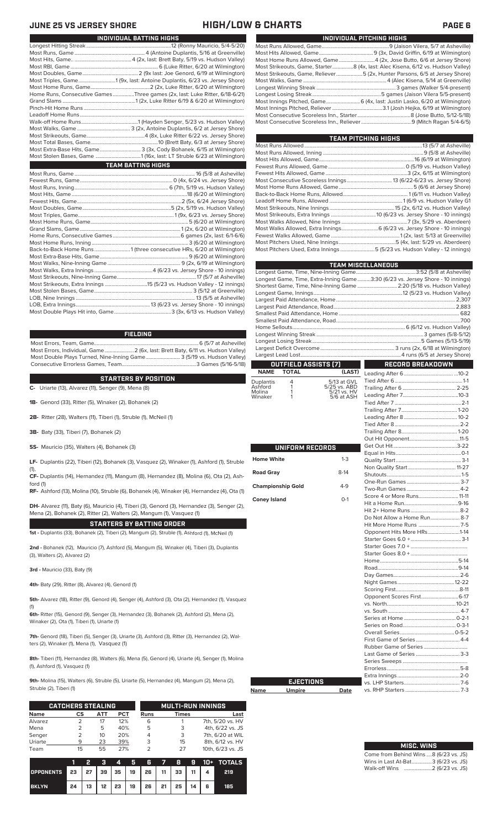### **JUNE 25 VS JERSEY SHORE HIGH/LOW & CHARTS PAGE 6**

| INDIVIDUAL PITCHING HIGHS                                                       |
|---------------------------------------------------------------------------------|
|                                                                                 |
|                                                                                 |
| Most Home Runs Allowed, Game4 (2x, Jose Butto, 6/6 at Jersey Shore)             |
| Most Strikeouts, Game, Starter8 (4x, last: Alec Kisena, 6/12 vs. Hudson Valley) |
| Most Strikeouts, Game, Reliever5 (2x, Hunter Parsons, 6/5 at Jersey Shore)      |
|                                                                                 |
|                                                                                 |
|                                                                                 |
|                                                                                 |
|                                                                                 |
|                                                                                 |
|                                                                                 |

| TEAM PITCHING HIGHS                                                       |  |
|---------------------------------------------------------------------------|--|
|                                                                           |  |
|                                                                           |  |
|                                                                           |  |
|                                                                           |  |
|                                                                           |  |
|                                                                           |  |
|                                                                           |  |
|                                                                           |  |
|                                                                           |  |
|                                                                           |  |
|                                                                           |  |
|                                                                           |  |
| Most Walks Allowed, Extra Innings 6 (6/23 vs. Jersey Shore - 10 innings)  |  |
|                                                                           |  |
|                                                                           |  |
| Most Pitchers Used, Extra Innings 5 (5/23 vs. Hudson Valley - 12 innings) |  |
|                                                                           |  |

|                          | <b>TEAM MISCELLANEOUS</b>            |                             |                                                                                |  |  |  |  |  |  |  |
|--------------------------|--------------------------------------|-----------------------------|--------------------------------------------------------------------------------|--|--|--|--|--|--|--|
|                          |                                      |                             |                                                                                |  |  |  |  |  |  |  |
|                          |                                      |                             | Longest Game, Time, Extra-Inning Game3:30 (6/23 vs. Jersey Shore - 10 innings) |  |  |  |  |  |  |  |
|                          |                                      |                             | Shortest Game, Time, Nine-Inning Game  2:20 (5/18 vs. Hudson Valley)           |  |  |  |  |  |  |  |
|                          |                                      |                             |                                                                                |  |  |  |  |  |  |  |
|                          |                                      |                             |                                                                                |  |  |  |  |  |  |  |
|                          |                                      |                             |                                                                                |  |  |  |  |  |  |  |
|                          |                                      |                             |                                                                                |  |  |  |  |  |  |  |
|                          |                                      |                             |                                                                                |  |  |  |  |  |  |  |
|                          |                                      |                             |                                                                                |  |  |  |  |  |  |  |
|                          |                                      |                             |                                                                                |  |  |  |  |  |  |  |
|                          |                                      |                             |                                                                                |  |  |  |  |  |  |  |
|                          |                                      |                             |                                                                                |  |  |  |  |  |  |  |
|                          |                                      |                             |                                                                                |  |  |  |  |  |  |  |
| <b>NAME</b>              | OUTFIELD ASSISTS (7)<br><b>TOTAL</b> | (LAST)                      | <b>RECORD BREAKDOWN</b>                                                        |  |  |  |  |  |  |  |
|                          |                                      |                             |                                                                                |  |  |  |  |  |  |  |
| Duplantis<br>Ashford     | 4<br>1                               | 5/13 at GVL<br>5/25 vs. ABD |                                                                                |  |  |  |  |  |  |  |
| Molina                   | 1                                    | 5/21 vs. HV                 |                                                                                |  |  |  |  |  |  |  |
| Winaker                  | 1                                    | 5/6 at ASH                  |                                                                                |  |  |  |  |  |  |  |
|                          |                                      |                             |                                                                                |  |  |  |  |  |  |  |
|                          |                                      |                             |                                                                                |  |  |  |  |  |  |  |
|                          |                                      |                             |                                                                                |  |  |  |  |  |  |  |
|                          |                                      |                             |                                                                                |  |  |  |  |  |  |  |
|                          |                                      |                             |                                                                                |  |  |  |  |  |  |  |
|                          |                                      |                             |                                                                                |  |  |  |  |  |  |  |
|                          | UNIFORM RECORDS                      |                             |                                                                                |  |  |  |  |  |  |  |
| <b>Home White</b>        |                                      | $1 - 3$                     |                                                                                |  |  |  |  |  |  |  |
|                          |                                      |                             |                                                                                |  |  |  |  |  |  |  |
| <b>Road Gray</b>         |                                      | $8-14$                      |                                                                                |  |  |  |  |  |  |  |
|                          |                                      |                             |                                                                                |  |  |  |  |  |  |  |
| <b>Championship Gold</b> |                                      | $4-9$                       |                                                                                |  |  |  |  |  |  |  |
|                          |                                      | $O-1$                       | Score 4 or More Runs 11-11                                                     |  |  |  |  |  |  |  |
| <b>Coney Island</b>      |                                      |                             |                                                                                |  |  |  |  |  |  |  |
|                          |                                      |                             |                                                                                |  |  |  |  |  |  |  |
|                          |                                      |                             | Do Not Allow a Home Run 8-7                                                    |  |  |  |  |  |  |  |
|                          |                                      |                             |                                                                                |  |  |  |  |  |  |  |
|                          |                                      |                             | Opponent Hits More HRs1-14                                                     |  |  |  |  |  |  |  |
|                          |                                      |                             |                                                                                |  |  |  |  |  |  |  |
|                          |                                      |                             |                                                                                |  |  |  |  |  |  |  |
|                          |                                      |                             |                                                                                |  |  |  |  |  |  |  |
|                          |                                      |                             |                                                                                |  |  |  |  |  |  |  |
|                          |                                      |                             |                                                                                |  |  |  |  |  |  |  |
|                          |                                      |                             |                                                                                |  |  |  |  |  |  |  |
|                          |                                      |                             |                                                                                |  |  |  |  |  |  |  |
|                          |                                      |                             | Opponent Scores First 6-17                                                     |  |  |  |  |  |  |  |
|                          |                                      |                             |                                                                                |  |  |  |  |  |  |  |
|                          |                                      |                             |                                                                                |  |  |  |  |  |  |  |
|                          |                                      |                             |                                                                                |  |  |  |  |  |  |  |
|                          |                                      |                             |                                                                                |  |  |  |  |  |  |  |
|                          |                                      |                             |                                                                                |  |  |  |  |  |  |  |
|                          |                                      |                             |                                                                                |  |  |  |  |  |  |  |
|                          |                                      |                             |                                                                                |  |  |  |  |  |  |  |
|                          |                                      |                             | Last Game of Series  3-3                                                       |  |  |  |  |  |  |  |
|                          |                                      |                             |                                                                                |  |  |  |  |  |  |  |
|                          |                                      |                             |                                                                                |  |  |  |  |  |  |  |
|                          |                                      |                             |                                                                                |  |  |  |  |  |  |  |
|                          | <b>EJECTIONS</b>                     |                             |                                                                                |  |  |  |  |  |  |  |
| Name                     | <u>Umpire</u>                        | Date                        |                                                                                |  |  |  |  |  |  |  |

| <b>MISC. WINS</b>                     |
|---------------------------------------|
| Come from Behind Wins 8 (6/23 vs. JS) |
| Wins in Last At-Bat3 (6/23 vs. JS)    |
|                                       |

| INDIVIDUAL BATTING HIGHS                                                    |
|-----------------------------------------------------------------------------|
|                                                                             |
|                                                                             |
|                                                                             |
|                                                                             |
|                                                                             |
| Most Triples, Game1 (9x, last: Antoine Duplantis, 6/23 vs. Jersey Shore)    |
|                                                                             |
| Home Runs, Consecutive Games Three games (2x, last: Luke Ritter, 6/18-6/21) |
|                                                                             |
|                                                                             |
|                                                                             |
|                                                                             |
|                                                                             |
|                                                                             |
|                                                                             |
| Most Extra-Base Hits, Game 3 (3x, Cody Bohanek, 6/15 at Wilmington)         |
|                                                                             |
| <b>TEAM BATTING HIGHS</b>                                                   |
|                                                                             |
|                                                                             |
|                                                                             |
|                                                                             |
|                                                                             |
|                                                                             |
|                                                                             |
|                                                                             |
|                                                                             |
|                                                                             |
|                                                                             |
|                                                                             |
| Back-to-Back Home Runs 1 (three consecutive HRs, 6/20 at Wilmington)        |
|                                                                             |
|                                                                             |
|                                                                             |
|                                                                             |
| Most Strikeouts, Extra Innings 15 (5/23 vs. Hudson Valley - 12 innings)     |

### **FIELDING**

Most Errors, Team, Game...............................................................................6 (5/7 at Asheville) .<br>2 (6x, last: Brett Baty, 6/11 vs. Hudson Valley)<br>3 (5/19 vs. Hudson Valley) Most Double Plays Turned, Nine-Inning Game.......................... 3 (5/19 vs. Hudson Valley) Consecutive Errorless Games, Team.

LOB, Nine Innings .......................................................................................... 13 (5/5 at Asheville) LOB, Extra Innings........................................................13 (6/23 vs. Jersey Shore - 10 innings) Most Double Plays Hit into, Game...........................................3 (3x, 6/13 vs. Hudson Valley)

### **STARTERS BY POSITION**

**C-** Uriarte (13), Alvarez (11), Senger (9), Mena (8)

**1B-** Genord (33), Ritter (5), Winaker (2), Bohanek (2)

**2B-** Ritter (28), Walters (11), Tiberi (1), Struble (1), McNeil (1)

**3B-** Baty (33), Tiberi (7), Bohanek (2)

**SS-** Mauricio (35), Walters (4), Bohanek (3)

**LF-** Duplantis (22), Tiberi (12), Bohanek (3), Vasquez (2), Winaker (1), Ashford (1), Struble (1),

**CF-** Duplantis (14), Hernandez (11), Mangum (8), Hernandez (8), Molina (6), Ota (2), Ash-

ford (1) **RF-** Ashford (13), Molina (10), Struble (6), Bohanek (4), Winaker (4), Hernandez (4), Ota (1)

**DH-** Alvarez (11), Baty (6), Mauricio (4), Tiberi (3), Genord (3), Hernandez (3), Senger (2), Mena (2), Bohanek (2), Ritter (2), Walters (2), Mangum (1), Vasquez (1)

**STARTERS BY BATTING ORDER**

**1st -** Duplantis (33), Bohanek (2), Tiberi (2), Mangum (2), Struble (1), Ashford (1), McNeil (1)

**2nd -** Bohanek (12), Mauricio (7), Ashford (5), Mangum (5), Winaker (4), Tiberi (3), Duplantis (3), Walters (2), Alvarez (2)

**3rd -** Mauricio (33), Baty (9)

**4th-** Baty (29), Ritter (8), Alvarez (4), Genord (1)

**5th-** Alvarez (18), Ritter (9), Genord (4), Senger (4), Ashford (3), Ota (2), Hernandez (1), Vasquez (1)

**6th-** Ritter (15), Genord (9), Senger (3), Hernandez (3), Bohanek (2), Ashford (2), Mena (2), Winaker (2), Ota (1), Tiberi (1), Uriarte (1)

**7th-** Genord (18), Tiberi (5), Senger (3), Uriarte (3), Ashford (3), Ritter (3), Hernandez (2), Walters (2), Winaker (1), Mena (1), Vasquez (1)

**8th-** Tiberi (11), Hernandez (8), Walters (6), Mena (5), Genord (4), Uriarte (4), Senger (1), Molina (1), Ashford (1), Vasquez (1)

**9th-** Molina (15), Walters (6), Struble (5), Uriarte (5), Hernandez (4), Mangum (2), Mena (2), Struble (2), Tiberi (1)

**Name** 

|             | <b>CATCHERS STEALING</b> |     |     |             | <b>MULTI-RUN INNINGS</b> |                   |  |  |  |
|-------------|--------------------------|-----|-----|-------------|--------------------------|-------------------|--|--|--|
| <b>Name</b> | CS                       | ATT | PCT | <b>Runs</b> | <b>Times</b>             | Last              |  |  |  |
| Alvarez     |                          | 17  | 12% | 6           |                          | 7th, 5/20 vs. HV  |  |  |  |
| Mena        |                          | 5   | 40% | 5           | 3                        | 4th, 6/22 vs. JS  |  |  |  |
| Senger      |                          | 10  | 20% |             | 3                        | 7th, 6/20 at WIL  |  |  |  |
| Uriarte     | 9                        | 23  | 39% | З           | 15                       | 8th, 6/12 vs. HV  |  |  |  |
| Team        | 15                       | 55  | 27% | っ           | 27                       | 10th, 6/23 vs. JS |  |  |  |

|                                        |    | - 21 |  |                                           |  |  | 3 4 5 6 7 8 9 10 + TOTALS |
|----------------------------------------|----|------|--|-------------------------------------------|--|--|---------------------------|
| OPPONENTS 23 27 39 35 19 26 11 33 11 4 |    |      |  |                                           |  |  | 219                       |
| <b>BKLYN</b>                           | 24 |      |  | 13   12   23   19   26   21   25   14   6 |  |  | 185.                      |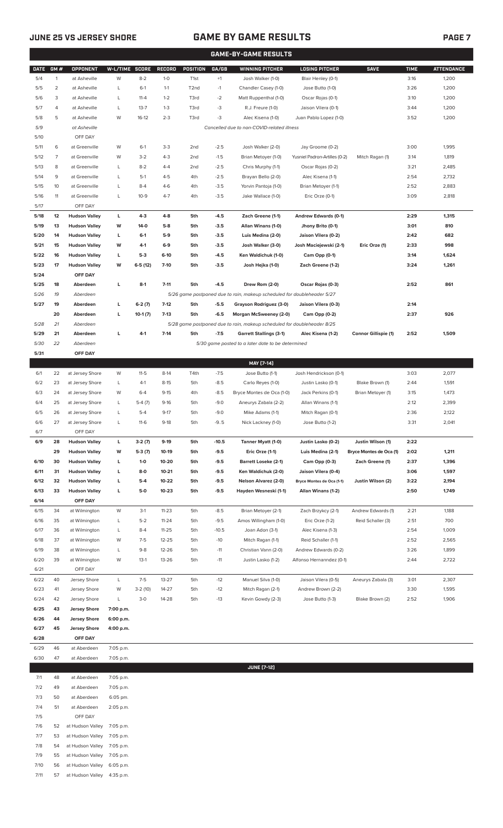## **JUNE 25 VS JERSEY SHORE GAME BY GAME RESULTS PAGE 7**

|              | <b>GAME-BY-GAME RESULTS</b> |                                                            |                |                   |                  |                   |                  |                                                                                           |                                             |                         |              |                   |  |
|--------------|-----------------------------|------------------------------------------------------------|----------------|-------------------|------------------|-------------------|------------------|-------------------------------------------------------------------------------------------|---------------------------------------------|-------------------------|--------------|-------------------|--|
| <b>DATE</b>  | GM#                         | OPPONENT                                                   | W-L/TIME SCORE |                   | RECORD           | POSITION          | GA/GB            | <b>WINNING PITCHER</b>                                                                    | <b>LOSING PITCHER</b>                       | <b>SAVE</b>             | <b>TIME</b>  | <b>ATTENDANCE</b> |  |
| 5/4          | $\mathbf{1}$                | at Asheville                                               | W              | $8 - 2$           | $1 - 0$          | T <sub>1st</sub>  | $+1$             | Josh Walker (1-0)                                                                         | Blair Henley (0-1)                          |                         | 3:16         | 1,200             |  |
| 5/5          | $\overline{c}$              | at Asheville                                               | L              | $6-1$             | $1 - 1$          | T <sub>2</sub> nd | $-1$             | Chandler Casey (1-0)                                                                      | Jose Butto (1-0)                            |                         | 3:26         | 1,200             |  |
| 5/6          | 3                           | at Asheville                                               | L              | $11 - 4$          | $1 - 2$          | T3rd              | $-2$             | Matt Ruppenthal (1-0)                                                                     | Oscar Rojas (0-1)                           |                         | 3:10         | 1,200             |  |
| 5/7          | 4                           | at Asheville                                               | L              | $13 - 7$          | $1 - 3$          | T3rd              | -3               | R.J. Freure (1-0)                                                                         | Jaison Vilera (0-1)                         |                         | 3:44         | 1,200             |  |
| 5/8          | 5                           | at Asheville                                               | W              | $16-12$           | $2 - 3$          | T3rd              | -3               | Alec Kisena (1-0)                                                                         | Juan Pablo Lopez (1-0)                      |                         | 3:52         | 1,200             |  |
| 5/9          |                             | at Asheville<br>Cancelled due to non-COVID-related illness |                |                   |                  |                   |                  |                                                                                           |                                             |                         |              |                   |  |
| 5/10<br>5/11 | 6                           | OFF DAY<br>at Greenville                                   | W              | $6-1$             | $3-3$            | 2 <sub>nd</sub>   | $-2.5$           | Josh Walker (2-0)                                                                         | Jay Groome (0-2)                            |                         | 3:00         | 1,995             |  |
| 5/12         | 7                           | at Greenville                                              | W              | $3-2$             | $4 - 3$          | 2 <sub>nd</sub>   | $-1.5$           | Brian Metoyer (1-0)                                                                       | Yusniel Padron-Artilles (0-2)               | Mitch Ragan (1)         | 3:14         | 1,819             |  |
| 5/13         | 8                           | at Greenville                                              | L              | $8 - 2$           | $4 - 4$          | 2 <sub>nd</sub>   | $-2.5$           | Chris Murphy (1-1)                                                                        | Oscar Rojas (0-2)                           |                         | 3:21         | 2,485             |  |
| 5/14         | 9                           | at Greenville                                              | L              | $5-1$             | $4 - 5$          | 4th               | $-2.5$           | Brayan Bello (2-0)                                                                        | Alec Kisena (1-1)                           |                         | 2:54         | 2,732             |  |
| 5/15         | 10                          | at Greenville                                              | L              | $8-4$             | $4 - 6$          | 4th               | $-3.5$           | Yorvin Pantoja (1-0)                                                                      | Brian Metoyer (1-1)                         |                         | 2:52         | 2,883             |  |
| 5/16         | 11                          | at Greenville                                              | L              | $10-9$            | $4 - 7$          | 4th               | $-3.5$           | Jake Wallace (1-0)                                                                        | Eric Orze (0-1)                             |                         | 3:09         | 2,818             |  |
| 5/17         |                             | OFF DAY                                                    |                |                   |                  |                   |                  |                                                                                           |                                             |                         |              |                   |  |
| 5/18         | 12                          | <b>Hudson Valley</b>                                       | г              | 4-3               | $4 - 8$          | 5th               | $-4.5$           | Zach Greene (1-1)                                                                         | Andrew Edwards (0-1)                        |                         | 2:29         | 1,315             |  |
| 5/19         | 13                          | <b>Hudson Valley</b>                                       | W              | 14-0              | $5-8$            | 5th               | $-3.5$           | Allan Winans (1-0)                                                                        | Jhony Brito (0-1)                           |                         | 3:01         | 810               |  |
| 5/20         | 14                          | <b>Hudson Valley</b>                                       | L              | $6-1$             | $5-9$            | 5th               | $-3.5$           | Luis Medina (2-0)                                                                         | Jaison Vilera (0-2)                         |                         | 2:42         | 682               |  |
| 5/21         | 15                          | <b>Hudson Valley</b>                                       | W              | 4-1               | $6-9$            | 5th               | $-3.5$           | Josh Walker (3-0)                                                                         | Josh Maciejewski (2-1)                      | Eric Orze (1)           | 2:33         | 998               |  |
| 5/22         | 16                          | <b>Hudson Valley</b>                                       | L              | $5-3$             | $6-10$           | 5th               | $-4.5$           | Ken Waldichuk (1-0)                                                                       | Cam Opp (0-1)                               |                         | 3:14         | 1,624             |  |
| 5/23         | 17                          | <b>Hudson Valley</b>                                       | W              | $6-5(12)$         | $7-10$           | 5th               | $-3.5$           | Josh Hejka (1-0)                                                                          | Zach Greene (1-2)                           |                         | 3:24         | 1,261             |  |
| 5/24         |                             | OFF DAY                                                    |                |                   |                  |                   |                  |                                                                                           |                                             |                         |              |                   |  |
| 5/25<br>5/26 | 18<br>19                    | Aberdeen<br>Aberdeen                                       | г              | $8-1$             | $7 - 11$         | 5th               | $-4.5$           | Drew Rom (2-0)<br>5/26 game postponed due to rain, makeup scheduled for doubleheader 5/27 | Oscar Rojas (0-3)                           |                         | 2:52         | 861               |  |
| 5/27         | 19                          | Aberdeen                                                   | L              | $6-2(7)$          | $7-12$           | 5th               | $-5.5$           | Grayson Rodriguez (3-0)                                                                   | Jaison Vilera (0-3)                         |                         | 2:14         |                   |  |
|              | 20                          | Aberdeen                                                   | L              | $10-1(7)$         | $7-13$           | 5th               | $-6.5$           | Morgan McSweeney (2-0)                                                                    | Cam Opp (0-2)                               |                         | 2:37         | 926               |  |
| 5/28         | 21                          | Aberdeen                                                   |                |                   |                  |                   |                  | 5/28 game postponed due to rain, makeup scheduled for doubleheader 8/25                   |                                             |                         |              |                   |  |
| 5/29         | 21                          | Aberdeen                                                   | г              | 4-1               | $7 - 14$         | 5th               | $-7.5$           | <b>Garrett Stallings (3-1)</b>                                                            | Alec Kisena (1-2)                           | Connor Gillispie (1)    | 2:52         | 1,509             |  |
| 5/30         | 22                          | Aberdeen                                                   |                |                   |                  |                   |                  | 5/30 game posted to a later date to be determined                                         |                                             |                         |              |                   |  |
| 5/31         |                             | OFF DAY                                                    |                |                   |                  |                   |                  |                                                                                           |                                             |                         |              |                   |  |
|              |                             |                                                            |                |                   |                  |                   |                  | MAY [7-14]                                                                                |                                             |                         |              |                   |  |
| 6/1          | 22                          | at Jersey Shore                                            | W              | $11-5$            | $8-14$           | T4th              | $-7.5$           | Jose Butto (1-1)                                                                          | Josh Hendrickson (0-1)                      |                         | 3:03         | 2,077             |  |
| 6/2          | 23                          | at Jersey Shore                                            | L              | $4-1$             | $8 - 15$         | 5th               | $-8.5$           | Carlo Reyes (1-0)                                                                         | Justin Lasko (0-1)                          | Blake Brown (1)         | 2:44         | 1,591             |  |
| 6/3          | 24                          | at Jersey Shore                                            | W              | $6 - 4$           | $9 - 15$         | 4th               | $-8.5$           | Bryce Montes de Oca (1-0)                                                                 | Jack Perkins (0-1)                          | Brian Metoyer (1)       | 3:15         | 1,473             |  |
| 6/4          | 25                          | at Jersey Shore                                            | L              | $5-4(7)$          | $9 - 16$         | 5th               | $-9.0$           | Aneurys Zabala (2-2)                                                                      | Allan Winans (1-1)                          |                         | 2:12         | 2,399             |  |
| 6/5<br>6/6   | 26<br>27                    | at Jersey Shore<br>at Jersey Shore                         | L<br>L         | $5-4$<br>$11-6$   | $9-17$<br>$9-18$ | 5th<br>5th        | $-9.0$<br>$-9.5$ | Mike Adams (1-1)<br>Nick Lackney (1-0)                                                    | Mitch Ragan (0-1)<br>Jose Butto (1-2)       |                         | 2:36<br>3:31 | 2,122<br>2,041    |  |
| 6/7          |                             | OFF DAY                                                    |                |                   |                  |                   |                  |                                                                                           |                                             |                         |              |                   |  |
| 6/9          | 28                          | <b>Hudson Valley</b>                                       | L.             | $3-2(7)$          | $9-19$           | 5th               | $-10.5$          | Tanner Myatt (1-0)                                                                        | Justin Lasko (0-2)                          | Justin Wilson (1)       | 2:22         |                   |  |
|              | 29                          | <b>Hudson Valley</b>                                       | W              | 5-3 (7)           | 10-19            | 5th               | $-9.5$           | Eric Orze (1-1)                                                                           | Luis Medina (2-1)                           | Bryce Montes de Oca (1) | 2:02         | 1,211             |  |
| 6/10         | 30                          | <b>Hudson Valley</b>                                       | L              | $1-0$             | 10-20            | 5th               | $-9.5$           | <b>Barrett Loseke (2-1)</b>                                                               | Cam Opp (0-3)                               | Zach Greene (1)         | 2:37         | 1,396             |  |
| 6/11         | 31                          | <b>Hudson Valley</b>                                       | L              | $8-0$             | $10 - 21$        | 5th               | $-9.5$           | Ken Waldichuk (2-0)                                                                       | Jaison Vilera (0-4)                         |                         | 3:06         | 1,597             |  |
| 6/12         | 32                          | <b>Hudson Valley</b>                                       | L              | $5-4$             | 10-22            | 5th               | $-9.5$           | Nelson Alvarez (2-0)                                                                      | Bryce Montes de Oca (1-1)                   | Justin Wilson (2)       | 3:22         | 2,194             |  |
| 6/13         | 33                          | <b>Hudson Valley</b>                                       | L              | 5-0               | $10 - 23$        | 5th               | $-9.5$           | Hayden Wesneski (1-1)                                                                     | Allan Winans (1-2)                          |                         | 2:50         | 1,749             |  |
| 6/14         |                             | OFF DAY                                                    |                |                   |                  |                   |                  |                                                                                           |                                             |                         |              |                   |  |
| 6/15         | 34                          | at Wilmington                                              | W              | $3-1$             | $11 - 23$        | 5th               | $-8.5$           | Brian Metoyer (2-1)                                                                       | Zach Brzykcy (2-1)                          | Andrew Edwards (1)      | 2:21         | 1,188             |  |
| 6/16         | 35                          | at Wilmington                                              | L              | $5-2$             | $11 - 24$        | 5th               | $-9.5$           | Amos Willingham (1-0)                                                                     | Eric Orze (1-2)                             | Reid Schaller (3)       | 2:51         | 700               |  |
| 6/17         | 36                          | at Wilmington                                              | L              | $8 - 4$           | 11-25            | 5th               | $-10.5$          | Joan Adon (3-1)                                                                           | Alec Kisena (1-3)                           |                         | 2:54         | 1,009             |  |
| 6/18         | 37                          | at Wilmington                                              | W              | $7-5$             | 12-25            | 5th               | $-10$            | Mitch Ragan (1-1)<br>Christian Vann (2-0)                                                 | Reid Schaller (1-1)<br>Andrew Edwards (0-2) |                         | 2:52         | 2,565             |  |
| 6/19<br>6/20 | 38<br>39                    | at Wilmington<br>at Wilmington                             | L<br>W         | $9 - 8$<br>$13-1$ | 12-26<br>13-26   | 5th<br>5th        | $-11$<br>$-11$   | Justin Lasko (1-2)                                                                        | Alfonso Hernanndez (0-1)                    |                         | 3:26<br>2:44 | 1,899<br>2,722    |  |
| 6/21         |                             | OFF DAY                                                    |                |                   |                  |                   |                  |                                                                                           |                                             |                         |              |                   |  |
| 6/22         | 40                          | Jersey Shore                                               | L              | $7-5$             | $13 - 27$        | 5th               | $-12$            | Manuel Silva (1-0)                                                                        | Jaison Vilera (0-5)                         | Aneurys Zabala (3)      | 3:01         | 2,307             |  |
| 6/23         | 41                          | Jersey Shore                                               | W              | $3-2(10)$         | 14-27            | 5th               | $-12$            | Mitch Ragan (2-1)                                                                         | Andrew Brown (2-2)                          |                         | 3:30         | 1,595             |  |
| 6/24         | 42                          | Jersey Shore                                               | L              | $3-0$             | 14-28            | 5th               | $-13$            | Kevin Gowdy (2-3)                                                                         | Jose Butto (1-3)                            | Blake Brown (2)         | 2:52         | 1,906             |  |
| 6/25         | 43                          | <b>Jersey Shore</b>                                        | 7:00 p.m.      |                   |                  |                   |                  |                                                                                           |                                             |                         |              |                   |  |
| 6/26         | 44                          | <b>Jersey Shore</b>                                        | 6:00 p.m.      |                   |                  |                   |                  |                                                                                           |                                             |                         |              |                   |  |
| 6/27         | 45                          | <b>Jersey Shore</b>                                        | 4:00 p.m.      |                   |                  |                   |                  |                                                                                           |                                             |                         |              |                   |  |
| 6/28         |                             | OFF DAY                                                    |                |                   |                  |                   |                  |                                                                                           |                                             |                         |              |                   |  |
| 6/29         | 46                          | at Aberdeen                                                | 7:05 p.m.      |                   |                  |                   |                  |                                                                                           |                                             |                         |              |                   |  |
| 6/30         | 47                          | at Aberdeen                                                | 7:05 p.m.      |                   |                  |                   |                  |                                                                                           |                                             |                         |              |                   |  |
| 7/1          | 48                          | at Aberdeen                                                | 7:05 p.m.      |                   |                  |                   |                  | <b>JUNE [7-12]</b>                                                                        |                                             |                         |              |                   |  |
|              |                             |                                                            |                |                   |                  |                   |                  |                                                                                           |                                             |                         |              |                   |  |

| 7/2  | 49 | at Aberdeen                | 7:05 p.m.   |
|------|----|----------------------------|-------------|
| 7/3  | 50 | at Aberdeen                | 6:05 pm.    |
| 7/4  | 51 | at Aberdeen                | 2:05 p.m.   |
| 7/5  |    | OFF DAY                    |             |
| 7/6  | 52 | at Hudson Valley 7:05 p.m. |             |
| 7/7  | 53 | at Hudson Valley 7:05 p.m. |             |
| 7/8  | 54 | at Hudson Valley 7:05 p.m. |             |
| 7/9  | 55 | at Hudson Valley           | 7:05 p.m.   |
| 7/10 | 56 | at Hudson Valley           | $6:05$ p.m. |
| 7/11 | 57 | at Hudson Valley           | 4:35 p.m.   |
|      |    |                            |             |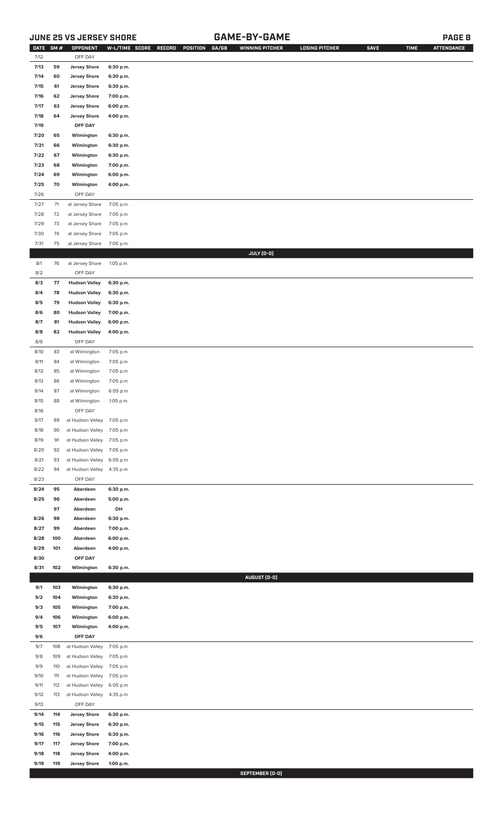## **JUNE 25 VS JERSEY SHORE GAME-BY-GAME PAGE 8**

| <b>DATE</b>  | GM#      | OPPONENT                                     | W-L/TIME SCORE         | RECORD | POSITION | GA/GB | <b>WINNING PITCHER</b> | <b>LOSING PITCHER</b> | <b>SAVE</b> | <b>TIME</b> | <b>ATTENDANCE</b> |
|--------------|----------|----------------------------------------------|------------------------|--------|----------|-------|------------------------|-----------------------|-------------|-------------|-------------------|
| 7/12         |          | OFF DAY                                      |                        |        |          |       |                        |                       |             |             |                   |
| 7/13         | 59       | <b>Jersey Shore</b>                          | 6:30 p.m.              |        |          |       |                        |                       |             |             |                   |
| 7/14         | 60       | <b>Jersey Shore</b>                          | 6:30 p.m.              |        |          |       |                        |                       |             |             |                   |
| 7/15         | 61       | <b>Jersey Shore</b><br><b>Jersey Shore</b>   | 6:30 p.m.              |        |          |       |                        |                       |             |             |                   |
| 7/16<br>7/17 | 62<br>63 | <b>Jersey Shore</b>                          | 7:00 p.m.              |        |          |       |                        |                       |             |             |                   |
| 7/18         | 64       | <b>Jersey Shore</b>                          | 6:00 p.m.<br>4:00 p.m. |        |          |       |                        |                       |             |             |                   |
| 7/19         |          | OFF DAY                                      |                        |        |          |       |                        |                       |             |             |                   |
| 7/20         | 65       | Wilmington                                   | 6:30 p.m.              |        |          |       |                        |                       |             |             |                   |
| 7/21         | 66       | Wilmington                                   | 6:30 p.m.              |        |          |       |                        |                       |             |             |                   |
| 7/22         | 67       | Wilmington                                   | 6:30 p.m.              |        |          |       |                        |                       |             |             |                   |
| 7/23         | 68       | Wilmington                                   | 7:00 p.m.              |        |          |       |                        |                       |             |             |                   |
| 7/24         | 69       | Wilmington                                   | 6:00 p.m.              |        |          |       |                        |                       |             |             |                   |
| 7/25         | 70       | Wilmington                                   | 4:00 p.m.              |        |          |       |                        |                       |             |             |                   |
| 7/26         |          | OFF DAY                                      |                        |        |          |       |                        |                       |             |             |                   |
| 7/27         | $71$     | at Jersey Shore                              | 7:05 p.m.              |        |          |       |                        |                       |             |             |                   |
| $7/28$       | 72       | at Jersey Shore                              | 7:05 p.m.              |        |          |       |                        |                       |             |             |                   |
| 7/29         | 73       | at Jersey Shore                              | 7:05 p.m.              |        |          |       |                        |                       |             |             |                   |
| 7/30         | 74       | at Jersey Shore                              | 7:05 p.m.              |        |          |       |                        |                       |             |             |                   |
| 7/31         | 75       | at Jersey Shore                              | 7:05 p.m.              |        |          |       |                        |                       |             |             |                   |
|              |          |                                              |                        |        |          |       | JULY (0-0)             |                       |             |             |                   |
| 8/1          | 76       | at Jersey Shore                              | 1:05 p.m.              |        |          |       |                        |                       |             |             |                   |
| 8/2          |          | OFF DAY                                      |                        |        |          |       |                        |                       |             |             |                   |
| 8/3          | 77       | <b>Hudson Valley</b>                         | 6:30 p.m.              |        |          |       |                        |                       |             |             |                   |
| 8/4          | 78       | <b>Hudson Valley</b>                         | 6:30 p.m.              |        |          |       |                        |                       |             |             |                   |
| 8/5          | 79       | <b>Hudson Valley</b>                         | 6:30 p.m.              |        |          |       |                        |                       |             |             |                   |
| 8/6<br>8/7   | 80<br>81 | <b>Hudson Valley</b><br><b>Hudson Valley</b> | 7:00 p.m.<br>6:00 p.m. |        |          |       |                        |                       |             |             |                   |
| 8/8          | 82       | <b>Hudson Valley</b>                         | 4:00 p.m.              |        |          |       |                        |                       |             |             |                   |
| 8/9          |          | OFF DAY                                      |                        |        |          |       |                        |                       |             |             |                   |
| 8/10         | 83       | at Wilmington                                | 7:05 p.m.              |        |          |       |                        |                       |             |             |                   |
| 8/11         | 84       | at Wilmington                                | 7:05 p.m.              |        |          |       |                        |                       |             |             |                   |
| 8/12         | 85       | at Wilmington                                | 7:05 p.m.              |        |          |       |                        |                       |             |             |                   |
| 8/13         | 86       | at Wilmington                                | 7:05 p.m.              |        |          |       |                        |                       |             |             |                   |
| 8/14         | 87       | at Wilmington                                | 6:05 p.m.              |        |          |       |                        |                       |             |             |                   |
| 8/15         | 88       | at Wilmington                                | 1:05 p.m.              |        |          |       |                        |                       |             |             |                   |
| 8/16         |          | OFF DAY                                      |                        |        |          |       |                        |                       |             |             |                   |
| 8/17         | 89       | at Hudson Valley 7:05 p.m.                   |                        |        |          |       |                        |                       |             |             |                   |
| 8/18         | 90       | at Hudson Valley                             | 7:05 p.m.              |        |          |       |                        |                       |             |             |                   |
| 8/19         | 91       | at Hudson Valley                             | 7:05 p.m.              |        |          |       |                        |                       |             |             |                   |
| 8/20         | 92       | at Hudson Valley                             | 7:05 p.m.              |        |          |       |                        |                       |             |             |                   |
| 8/21         | 93       | at Hudson Valley                             | 6:05 p.m.              |        |          |       |                        |                       |             |             |                   |
| 8/22         | 94       | at Hudson Valley                             | 4:35 p.m.              |        |          |       |                        |                       |             |             |                   |
| 8/23         |          | OFF DAY<br>Aberdeen                          |                        |        |          |       |                        |                       |             |             |                   |
| 8/24<br>8/25 | 95<br>96 | Aberdeen                                     | 6:30 p.m.<br>5:00 p.m. |        |          |       |                        |                       |             |             |                   |
|              | 97       | Aberdeen                                     | DH                     |        |          |       |                        |                       |             |             |                   |
| 8/26         | 98       | Aberdeen                                     | 6:30 p.m.              |        |          |       |                        |                       |             |             |                   |
| 8/27         | 99       | Aberdeen                                     | 7:00 p.m.              |        |          |       |                        |                       |             |             |                   |
| 8/28         | 100      | Aberdeen                                     | 6:00 p.m.              |        |          |       |                        |                       |             |             |                   |
| 8/29         | 101      | Aberdeen                                     | 4:00 p.m.              |        |          |       |                        |                       |             |             |                   |
| 8/30         |          | OFF DAY                                      |                        |        |          |       |                        |                       |             |             |                   |
| 8/31         | 102      | Wilmington                                   | 6:30 p.m.              |        |          |       |                        |                       |             |             |                   |
|              |          |                                              |                        |        |          |       | AUGUST (0-0)           |                       |             |             |                   |
| 9/1          | 103      | Wilmington                                   | 6:30 p.m.              |        |          |       |                        |                       |             |             |                   |
| 9/2          | 104      | Wilmington                                   | 6:30 p.m.              |        |          |       |                        |                       |             |             |                   |
| 9/3          | 105      | Wilmington                                   | 7:00 p.m.              |        |          |       |                        |                       |             |             |                   |
| 9/4          | 106      | Wilmington                                   | 6:00 p.m.              |        |          |       |                        |                       |             |             |                   |
| 9/5          | 107      | Wilmington                                   | 4:00 p.m.              |        |          |       |                        |                       |             |             |                   |
| 9/6<br>9/7   | 108      | OFF DAY<br>at Hudson Valley                  | 7:05 p.m.              |        |          |       |                        |                       |             |             |                   |
| 9/8          | 109      | at Hudson Valley                             | 7:05 p.m.              |        |          |       |                        |                       |             |             |                   |
| 9/9          | 110      | at Hudson Valley                             | 7:05 p.m.              |        |          |       |                        |                       |             |             |                   |
| 9/10         | 111      | at Hudson Valley                             | 7:05 p.m.              |        |          |       |                        |                       |             |             |                   |
| 9/11         | 112      | at Hudson Valley                             | 6:05 p.m.              |        |          |       |                        |                       |             |             |                   |
| 9/12         | 113      | at Hudson Valley                             | 4:35 p.m.              |        |          |       |                        |                       |             |             |                   |
| 9/13         |          | OFF DAY                                      |                        |        |          |       |                        |                       |             |             |                   |
| 9/14         | 114      | <b>Jersey Shore</b>                          | 6:30 p.m.              |        |          |       |                        |                       |             |             |                   |
| 9/15         | 115      | <b>Jersey Shore</b>                          | 6:30 p.m.              |        |          |       |                        |                       |             |             |                   |
| 9/16         | 116      | <b>Jersey Shore</b>                          | 6:30 p.m.              |        |          |       |                        |                       |             |             |                   |
| 9/17         | 117      | <b>Jersey Shore</b>                          | 7:00 p.m.              |        |          |       |                        |                       |             |             |                   |
| 9/18         | 118      | <b>Jersey Shore</b>                          | 4:00 p.m.              |        |          |       |                        |                       |             |             |                   |
| 9/19         | 119      | <b>Jersey Shore</b>                          | 1:00 p.m.              |        |          |       |                        |                       |             |             |                   |

**SEPTEMBER (0-0)**